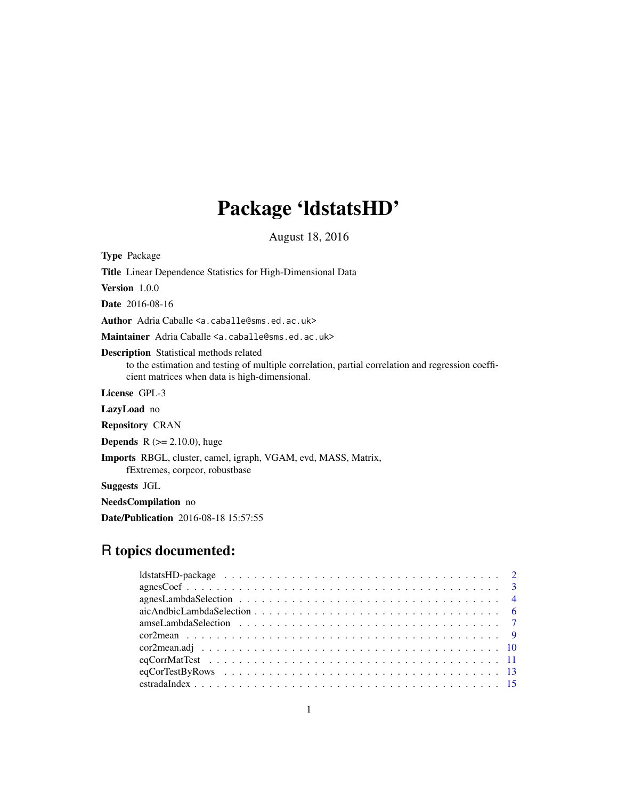# Package 'ldstatsHD'

August 18, 2016

<span id="page-0-0"></span>Type Package Title Linear Dependence Statistics for High-Dimensional Data Version 1.0.0 Date 2016-08-16 Author Adria Caballe <a.caballe@sms.ed.ac.uk> Maintainer Adria Caballe <a.caballe@sms.ed.ac.uk> Description Statistical methods related to the estimation and testing of multiple correlation, partial correlation and regression coefficient matrices when data is high-dimensional. License GPL-3 LazyLoad no Repository CRAN **Depends** R  $(>= 2.10.0)$ , huge Imports RBGL, cluster, camel, igraph, VGAM, evd, MASS, Matrix, fExtremes, corpcor, robustbase Suggests JGL NeedsCompilation no Date/Publication 2016-08-18 15:57:55

# R topics documented: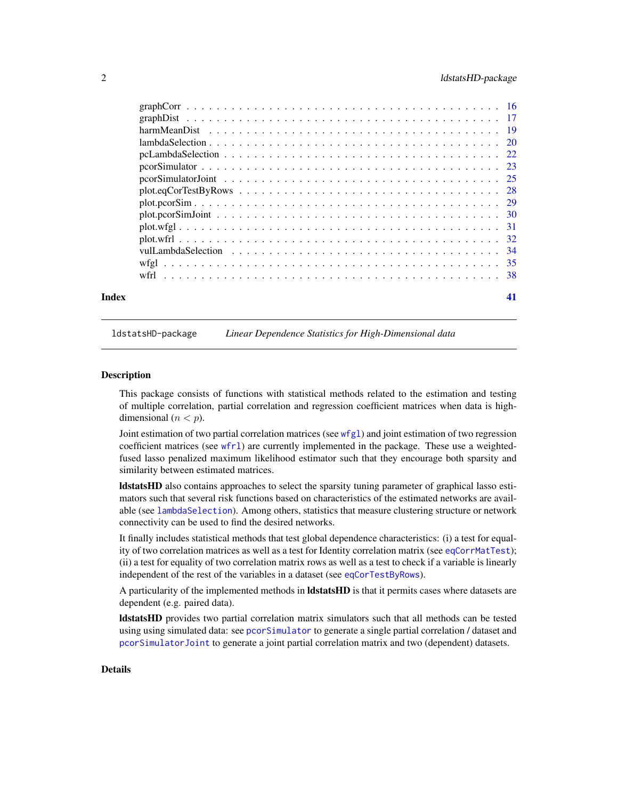<span id="page-1-0"></span>

| Index | 41 |
|-------|----|

ldstatsHD-package *Linear Dependence Statistics for High-Dimensional data*

#### **Description**

This package consists of functions with statistical methods related to the estimation and testing of multiple correlation, partial correlation and regression coefficient matrices when data is highdimensional  $(n < p)$ .

Joint estimation of two partial correlation matrices (see [wfgl](#page-34-1)) and joint estimation of two regression coefficient matrices (see [wfrl](#page-37-1)) are currently implemented in the package. These use a weightedfused lasso penalized maximum likelihood estimator such that they encourage both sparsity and similarity between estimated matrices.

ldstatsHD also contains approaches to select the sparsity tuning parameter of graphical lasso estimators such that several risk functions based on characteristics of the estimated networks are available (see [lambdaSelection](#page-19-1)). Among others, statistics that measure clustering structure or network connectivity can be used to find the desired networks.

It finally includes statistical methods that test global dependence characteristics: (i) a test for equality of two correlation matrices as well as a test for Identity correlation matrix (see [eqCorrMatTest](#page-10-1)); (ii) a test for equality of two correlation matrix rows as well as a test to check if a variable is linearly independent of the rest of the variables in a dataset (see [eqCorTestByRows](#page-12-1)).

A particularity of the implemented methods in **ldstatsHD** is that it permits cases where datasets are dependent (e.g. paired data).

ldstatsHD provides two partial correlation matrix simulators such that all methods can be tested using using simulated data: see [pcorSimulator](#page-22-1) to generate a single partial correlation / dataset and [pcorSimulatorJoint](#page-24-1) to generate a joint partial correlation matrix and two (dependent) datasets.

#### Details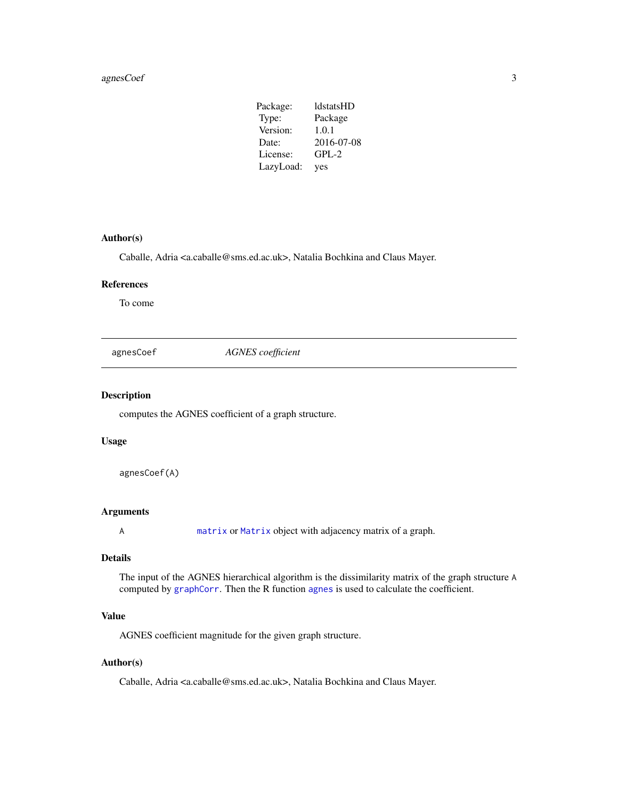# <span id="page-2-0"></span>agnesCoef 3

| Package:  | <b>ldstatsHD</b> |
|-----------|------------------|
| Type:     | Package          |
| Version:  | 1.0.1            |
| Date:     | 2016-07-08       |
| License:  | $GPL-2$          |
| LazyLoad: | yes              |

# Author(s)

Caballe, Adria <a.caballe@sms.ed.ac.uk>, Natalia Bochkina and Claus Mayer.

# References

To come

agnesCoef *AGNES coefficient*

# Description

computes the AGNES coefficient of a graph structure.

#### Usage

agnesCoef(A)

# Arguments

A [matrix](#page-0-0) or [Matrix](#page-0-0) object with adjacency matrix of a graph.

# Details

The input of the AGNES hierarchical algorithm is the dissimilarity matrix of the graph structure A computed by [graphCorr](#page-15-1). Then the R function [agnes](#page-0-0) is used to calculate the coefficient.

# Value

AGNES coefficient magnitude for the given graph structure.

# Author(s)

Caballe, Adria <a.caballe@sms.ed.ac.uk>, Natalia Bochkina and Claus Mayer.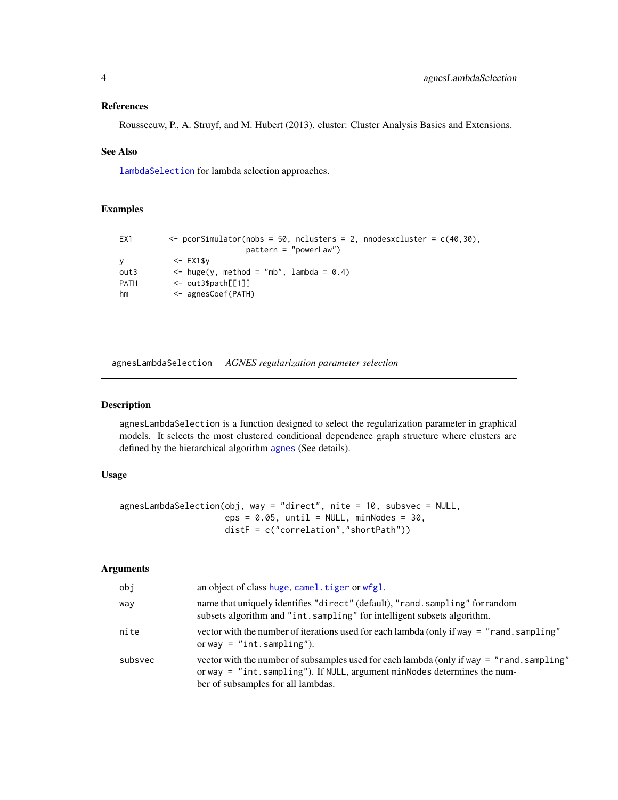### <span id="page-3-0"></span>References

Rousseeuw, P., A. Struyf, and M. Hubert (2013). cluster: Cluster Analysis Basics and Extensions.

#### See Also

[lambdaSelection](#page-19-1) for lambda selection approaches.

# Examples

```
EX1 \leftarrow pcorSimulator(nobs = 50, nclusters = 2, nnodesxcluster = c(40,30),
                         pattern = "powerLaw")
y <- EX1$y
out3 \leftarrow huge(y, method = "mb", lambda = 0.4)
PATH <- out3$path[[1]]
hm <- agnesCoef(PATH)
```
<span id="page-3-1"></span>agnesLambdaSelection *AGNES regularization parameter selection*

# Description

agnesLambdaSelection is a function designed to select the regularization parameter in graphical models. It selects the most clustered conditional dependence graph structure where clusters are defined by the hierarchical algorithm [agnes](#page-0-0) (See details).

#### Usage

```
agnesLambdaSelection(obj, way = "direct", nite = 10, subsvec = NULL,
                     eps = 0.05, until = NULL, minNodes = 30,
                     distF = c("correlation","shortPath"))
```

| obj     | an object of class huge, camel.tiger or wfgl.                                                                                                                                                              |
|---------|------------------------------------------------------------------------------------------------------------------------------------------------------------------------------------------------------------|
| way     | name that uniquely identifies "direct" (default), "rand. sampling" for random<br>subsets algorithm and "int.sampling" for intelligent subsets algorithm.                                                   |
| nite    | vector with the number of iterations used for each lambda (only if way $=$ "rand, sampling"<br>or way = $"int$ . sampling").                                                                               |
| subsvec | vector with the number of subsamples used for each lambda (only if way = "rand.sampling"<br>or way = "int.sampling"). If NULL, argument minNodes determines the num-<br>ber of subsamples for all lambdas. |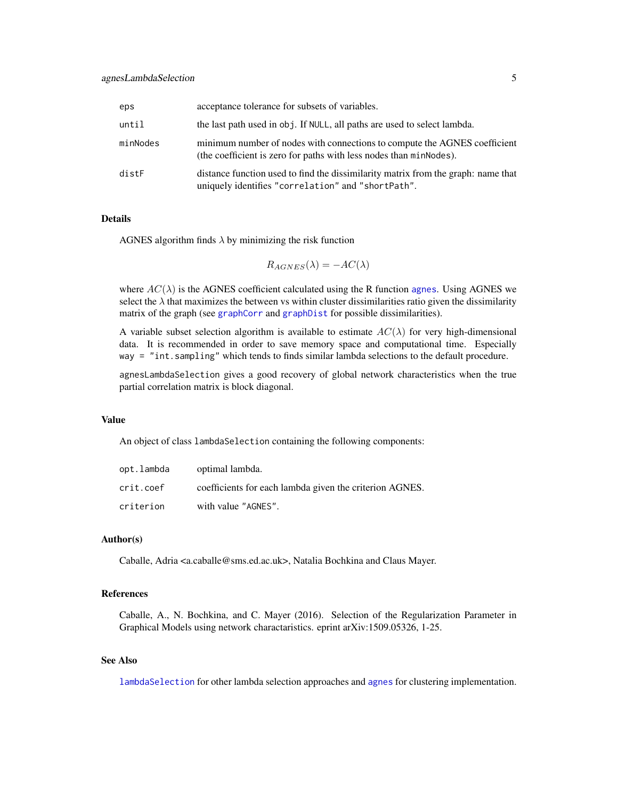<span id="page-4-0"></span>

| eps      | acceptance tolerance for subsets of variables.                                                                                                  |
|----------|-------------------------------------------------------------------------------------------------------------------------------------------------|
| until    | the last path used in obj. If NULL, all paths are used to select lambda.                                                                        |
| minNodes | minimum number of nodes with connections to compute the AGNES coefficient<br>(the coefficient is zero for paths with less nodes than minNodes). |
| distF    | distance function used to find the dissimilarity matrix from the graph: name that<br>uniquely identifies "correlation" and "shortPath".         |

# Details

AGNES algorithm finds  $\lambda$  by minimizing the risk function

$$
R_{AGNES}(\lambda) = -AC(\lambda)
$$

where  $AC(\lambda)$  is the AGNES coefficient calculated using the R function [agnes](#page-0-0). Using AGNES we select the  $\lambda$  that maximizes the between vs within cluster dissimilarities ratio given the dissimilarity matrix of the graph (see [graphCorr](#page-15-1) and [graphDist](#page-16-1) for possible dissimilarities).

A variable subset selection algorithm is available to estimate  $AC(\lambda)$  for very high-dimensional data. It is recommended in order to save memory space and computational time. Especially way = "int.sampling" which tends to finds similar lambda selections to the default procedure.

agnesLambdaSelection gives a good recovery of global network characteristics when the true partial correlation matrix is block diagonal.

#### Value

An object of class lambdaSelection containing the following components:

| opt.lambda | optimal lambda.                                         |
|------------|---------------------------------------------------------|
| crit.coef  | coefficients for each lambda given the criterion AGNES. |
| criterion  | with value "AGNES".                                     |

# Author(s)

Caballe, Adria <a.caballe@sms.ed.ac.uk>, Natalia Bochkina and Claus Mayer.

#### References

Caballe, A., N. Bochkina, and C. Mayer (2016). Selection of the Regularization Parameter in Graphical Models using network charactaristics. eprint arXiv:1509.05326, 1-25.

# See Also

[lambdaSelection](#page-19-1) for other lambda selection approaches and [agnes](#page-0-0) for clustering implementation.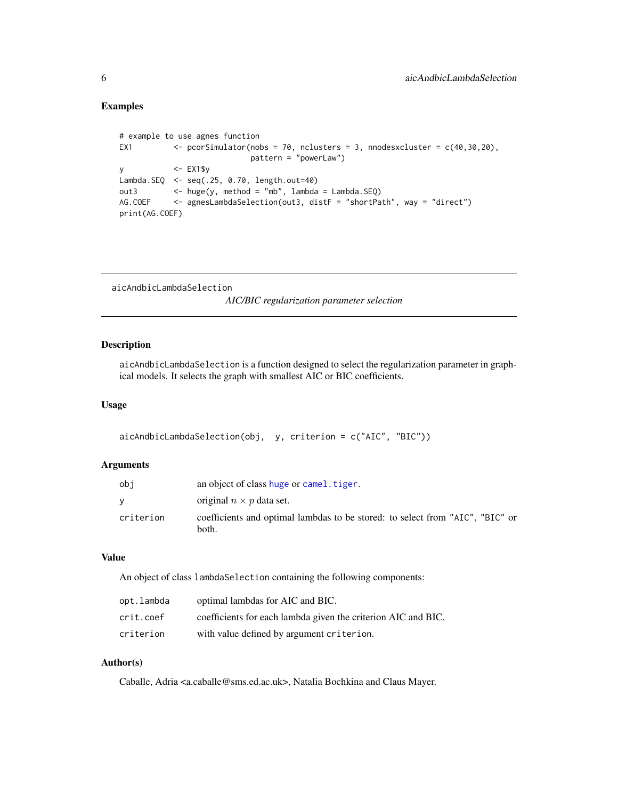# <span id="page-5-0"></span>Examples

```
# example to use agnes function
EX1 \langle - pcorSimulator(nobs = 70, nclusters = 3, nnodesxcluster = c(40, 30, 20),
                           pattern = "powerLaw")
y <- EX1$y
Lambda.SEQ <- seq(.25, 0.70, length.out=40)
out3 \leftarrow huge(y, method = "mb", lambda = Lambda.SEQ)
AG.COEF <- agnesLambdaSelection(out3, distF = "shortPath", way = "direct")
print(AG.COEF)
```
<span id="page-5-1"></span>aicAndbicLambdaSelection

*AIC/BIC regularization parameter selection*

# Description

aicAndbicLambdaSelection is a function designed to select the regularization parameter in graphical models. It selects the graph with smallest AIC or BIC coefficients.

# Usage

```
aicAndbicLambdaSelection(obj, y, criterion = c("AIC", "BIC"))
```
#### Arguments

| obi       | an object of class huge or camel. tiger.                                               |
|-----------|----------------------------------------------------------------------------------------|
|           | original $n \times p$ data set.                                                        |
| criterion | coefficients and optimal lambdas to be stored: to select from "AIC", "BIC" or<br>both. |

# Value

An object of class lambdaSelection containing the following components:

| opt.lambda | optimal lambdas for AIC and BIC.                              |
|------------|---------------------------------------------------------------|
| crit.coef  | coefficients for each lambda given the criterion AIC and BIC. |
| criterion  | with value defined by argument criterion.                     |

# Author(s)

Caballe, Adria <a.caballe@sms.ed.ac.uk>, Natalia Bochkina and Claus Mayer.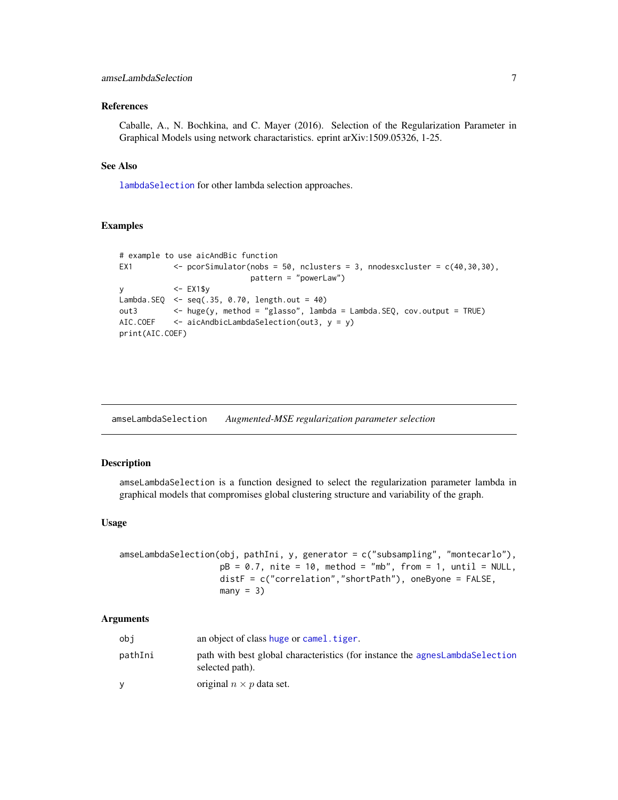#### <span id="page-6-0"></span>References

Caballe, A., N. Bochkina, and C. Mayer (2016). Selection of the Regularization Parameter in Graphical Models using network charactaristics. eprint arXiv:1509.05326, 1-25.

# See Also

[lambdaSelection](#page-19-1) for other lambda selection approaches.

#### Examples

```
# example to use aicAndBic function
EX1 \leftarrow pcorSimulator(nobs = 50, nclusters = 3, nnodesxcluster = c(40,30,30),
                           pattern = "powerLaw")
y <- EX1$y
Lambda.SEQ <- seq(.35, 0.70, length.out = 40)
out3 <- huge(y, method = "glasso", lambda = Lambda.SEQ, cov.output = TRUE)
AIC.COEF <- aicAndbicLambdaSelection(out3, y = y)
print(AIC.COEF)
```
<span id="page-6-1"></span>amseLambdaSelection *Augmented-MSE regularization parameter selection*

#### Description

amseLambdaSelection is a function designed to select the regularization parameter lambda in graphical models that compromises global clustering structure and variability of the graph.

#### Usage

```
amseLambdaSelection(obj, pathIni, y, generator = c("subsampling", "montecarlo"),
                   pB = 0.7, nite = 10, method = "mb", from = 1, until = NULL,
                    distF = c("correlation","shortPath"), oneByone = FALSE,
                   many = 3)
```

| obi     | an object of class huge or camel. tiger.                                                        |
|---------|-------------------------------------------------------------------------------------------------|
| pathIni | path with best global characteristics (for instance the agnesLambdaSelection<br>selected path). |
|         | original $n \times p$ data set.                                                                 |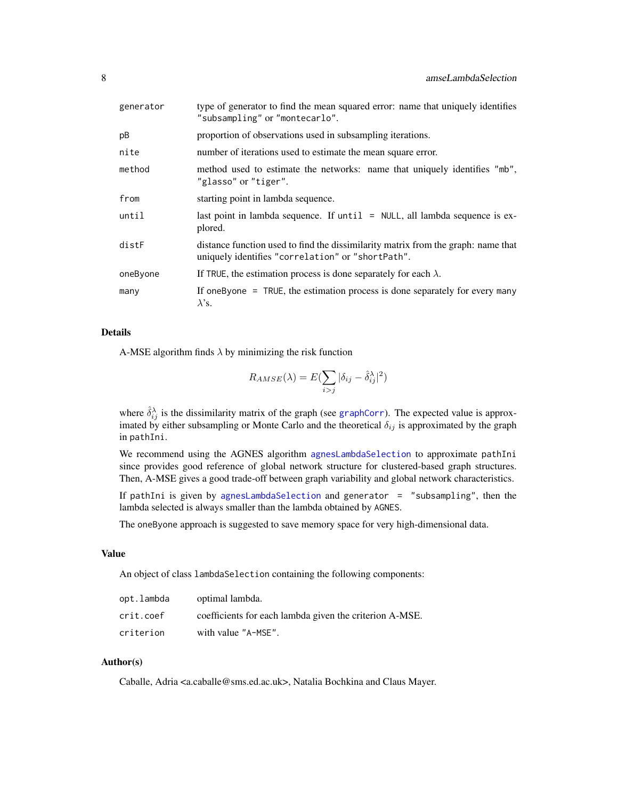<span id="page-7-0"></span>

| generator | type of generator to find the mean squared error: name that uniquely identifies<br>"subsampling" or "montecarlo".                      |  |
|-----------|----------------------------------------------------------------------------------------------------------------------------------------|--|
| pB        | proportion of observations used in subsampling iterations.                                                                             |  |
| nite      | number of iterations used to estimate the mean square error.                                                                           |  |
| method    | method used to estimate the networks: name that uniquely identifies "mb",<br>"glasso" or "tiger".                                      |  |
| from      | starting point in lambda sequence.                                                                                                     |  |
| until     | last point in lambda sequence. If $until = NULL$ , all lambda sequence is ex-<br>plored.                                               |  |
| distF     | distance function used to find the dissimilarity matrix from the graph: name that<br>uniquely identifies "correlation" or "shortPath". |  |
| oneByone  | If TRUE, the estimation process is done separately for each $\lambda$ .                                                                |  |
| many      | If one Byone $=$ TRUE, the estimation process is done separately for every many<br>$\lambda$ 's.                                       |  |

# Details

A-MSE algorithm finds  $\lambda$  by minimizing the risk function

$$
R_{AMSE}(\lambda) = E(\sum_{i>j} |\delta_{ij} - \hat{\delta}_{ij}^{\lambda}|^2)
$$

where  $\hat{\delta}_{ij}^{\lambda}$  is the dissimilarity matrix of the graph (see [graphCorr](#page-15-1)). The expected value is approximated by either subsampling or Monte Carlo and the theoretical  $\delta_{ij}$  is approximated by the graph in pathIni.

We recommend using the AGNES algorithm [agnesLambdaSelection](#page-3-1) to approximate pathIni since provides good reference of global network structure for clustered-based graph structures. Then, A-MSE gives a good trade-off between graph variability and global network characteristics.

If pathIni is given by [agnesLambdaSelection](#page-3-1) and generator = "subsampling", then the lambda selected is always smaller than the lambda obtained by AGNES.

The oneByone approach is suggested to save memory space for very high-dimensional data.

# Value

An object of class lambdaSelection containing the following components:

| opt.lambda | optimal lambda.                                         |
|------------|---------------------------------------------------------|
| crit.coef  | coefficients for each lambda given the criterion A-MSE. |
| criterion  | with value "A-MSE".                                     |

# Author(s)

Caballe, Adria <a.caballe@sms.ed.ac.uk>, Natalia Bochkina and Claus Mayer.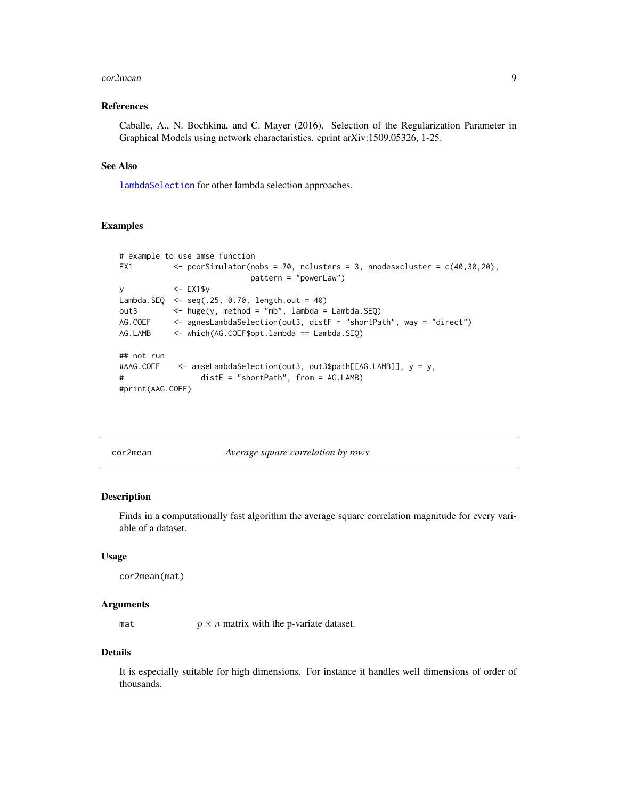#### <span id="page-8-0"></span>cor2mean 9

### References

Caballe, A., N. Bochkina, and C. Mayer (2016). Selection of the Regularization Parameter in Graphical Models using network charactaristics. eprint arXiv:1509.05326, 1-25.

# See Also

[lambdaSelection](#page-19-1) for other lambda selection approaches.

#### Examples

```
# example to use amse function
EX1 \leftarrow pcorSimulator(nobs = 70, nclusters = 3, nnodesxcluster = c(40,30,20),
                          pattern = "powerLaw")
y <- EX1$y
Lambda.SEQ <- seq(.25, 0.70, length.out = 40)
out3 <- huge(y, method = "mb", lambda = Lambda.SEQ)
AG.COEF <- agnesLambdaSelection(out3, distF = "shortPath", way = "direct")
AG.LAMB <- which(AG.COEF$opt.lambda == Lambda.SEQ)
## not run
#AAG.COEF <- amseLambdaSelection(out3, out3$path[[AG.LAMB]], y = y,
# distF = "shortPath", from = AG.LAMB)
#print(AAG.COEF)
```
<span id="page-8-1"></span>cor2mean *Average square correlation by rows*

# Description

Finds in a computationally fast algorithm the average square correlation magnitude for every variable of a dataset.

#### Usage

```
cor2mean(mat)
```
#### Arguments

mat  $p \times n$  matrix with the p-variate dataset.

# Details

It is especially suitable for high dimensions. For instance it handles well dimensions of order of thousands.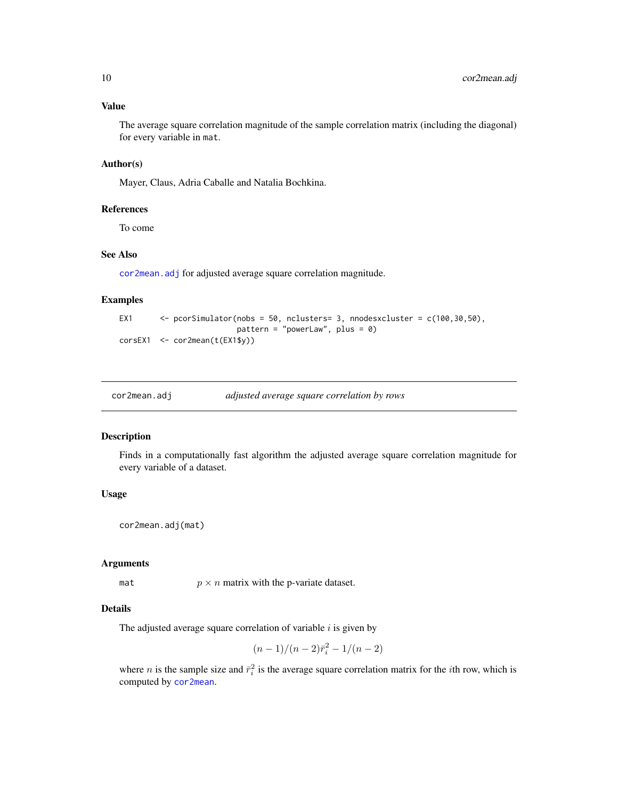# <span id="page-9-0"></span>Value

The average square correlation magnitude of the sample correlation matrix (including the diagonal) for every variable in mat.

# Author(s)

Mayer, Claus, Adria Caballe and Natalia Bochkina.

#### References

To come

# See Also

[cor2mean.adj](#page-9-1) for adjusted average square correlation magnitude.

# Examples

```
EX1 \leq pcorSimulator(nobs = 50, nclusters= 3, nnodesxcluster = c(100,30,50),
                         pattern = "powerLaw", plus = 0)
corsEX1 <- cor2mean(t(EX1$y))
```
<span id="page-9-1"></span>

| cor2mean.adj | adjusted average square correlation by rows |
|--------------|---------------------------------------------|
|              |                                             |

# Description

Finds in a computationally fast algorithm the adjusted average square correlation magnitude for every variable of a dataset.

# Usage

```
cor2mean.adj(mat)
```
# Arguments

mat  $p \times n$  matrix with the p-variate dataset.

# Details

The adjusted average square correlation of variable  $i$  is given by

$$
(n-1)/(n-2)\bar{r}_i^2 - 1/(n-2)
$$

where *n* is the sample size and  $\bar{r}_i^2$  is the average square correlation matrix for the *i*th row, which is computed by [cor2mean](#page-8-1).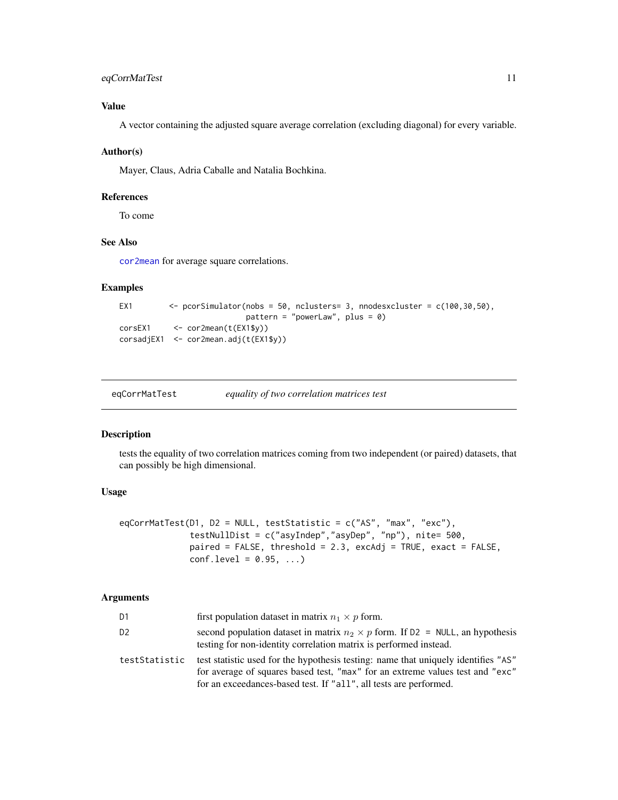# <span id="page-10-0"></span>eqCorrMatTest 11

# Value

A vector containing the adjusted square average correlation (excluding diagonal) for every variable.

# Author(s)

Mayer, Claus, Adria Caballe and Natalia Bochkina.

#### References

To come

# See Also

[cor2mean](#page-8-1) for average square correlations.

# Examples

```
EX1 \leftarrow pcorSimulator(nobs = 50, nclusters= 3, nnodesxcluster = c(100,30,50),
                            pattern = "powerLaw", plus = \theta)
corsEX1 <- cor2mean(t(EX1$y))
corsadjEX1 <- cor2mean.adj(t(EX1$y))
```
<span id="page-10-1"></span>

| eqCorrMatTest | equality of two correlation matrices test |
|---------------|-------------------------------------------|
|               |                                           |

# Description

tests the equality of two correlation matrices coming from two independent (or paired) datasets, that can possibly be high dimensional.

#### Usage

```
eqCorrMatTest(D1, D2 = NULL, testStatistic = c("AS", "max", "exc"),
             testNullDist = c("asyIndep","asyDep", "np"), nite= 500,
             paired = FALSE, threshold = 2.3, excAdj = TRUE, exact = FALSE,
             conf. level = 0.95, ...
```

| D1             | first population dataset in matrix $n_1 \times p$ form.                                                                                                                                                                                  |
|----------------|------------------------------------------------------------------------------------------------------------------------------------------------------------------------------------------------------------------------------------------|
| D <sub>2</sub> | second population dataset in matrix $n_2 \times p$ form. If D2 = NULL, an hypothesis<br>testing for non-identity correlation matrix is performed instead.                                                                                |
| testStatistic  | test statistic used for the hypothesis testing: name that uniquely identifies "AS"<br>for average of squares based test, "max" for an extreme values test and "exc"<br>for an exceedances-based test. If "all", all tests are performed. |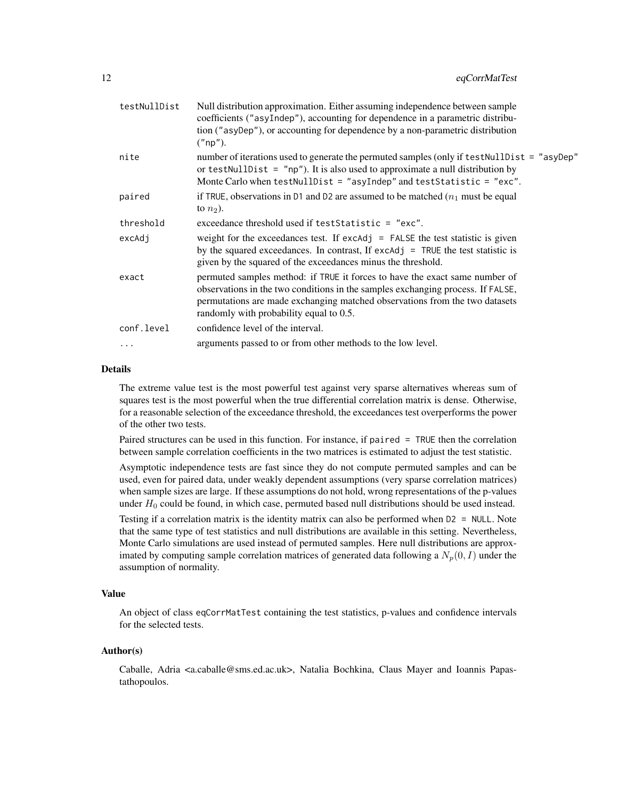| testNullDist | Null distribution approximation. Either assuming independence between sample<br>coefficients ("asyIndep"), accounting for dependence in a parametric distribu-<br>tion ("asyDep"), or accounting for dependence by a non-parametric distribution<br>("np").                              |
|--------------|------------------------------------------------------------------------------------------------------------------------------------------------------------------------------------------------------------------------------------------------------------------------------------------|
| nite         | number of iterations used to generate the permuted samples (only if test Null Dist = "asyDep"<br>or test Null Dist = $"np"$ ). It is also used to approximate a null distribution by<br>Monte Carlo when testNullDist = "asyIndep" and testStatistic = "exc".                            |
| paired       | if TRUE, observations in D1 and D2 are assumed to be matched $(n_1$ must be equal<br>to $n_2$ ).                                                                                                                                                                                         |
| threshold    | exceedance threshold used if testStatistic = "exc".                                                                                                                                                                                                                                      |
| excAdj       | weight for the exceedances test. If $excAdj = FALSE$ the test statistic is given<br>by the squared exceedances. In contrast, If excAdj = TRUE the test statistic is<br>given by the squared of the exceedances minus the threshold.                                                      |
| exact        | permuted samples method: if TRUE it forces to have the exact same number of<br>observations in the two conditions in the samples exchanging process. If FALSE,<br>permutations are made exchanging matched observations from the two datasets<br>randomly with probability equal to 0.5. |
| conf.level   | confidence level of the interval.                                                                                                                                                                                                                                                        |
| .            | arguments passed to or from other methods to the low level.                                                                                                                                                                                                                              |
|              |                                                                                                                                                                                                                                                                                          |

# Details

The extreme value test is the most powerful test against very sparse alternatives whereas sum of squares test is the most powerful when the true differential correlation matrix is dense. Otherwise, for a reasonable selection of the exceedance threshold, the exceedances test overperforms the power of the other two tests.

Paired structures can be used in this function. For instance, if paired = TRUE then the correlation between sample correlation coefficients in the two matrices is estimated to adjust the test statistic.

Asymptotic independence tests are fast since they do not compute permuted samples and can be used, even for paired data, under weakly dependent assumptions (very sparse correlation matrices) when sample sizes are large. If these assumptions do not hold, wrong representations of the p-values under  $H_0$  could be found, in which case, permuted based null distributions should be used instead.

Testing if a correlation matrix is the identity matrix can also be performed when D2 = NULL. Note that the same type of test statistics and null distributions are available in this setting. Nevertheless, Monte Carlo simulations are used instead of permuted samples. Here null distributions are approximated by computing sample correlation matrices of generated data following a  $N_p(0, I)$  under the assumption of normality.

#### Value

An object of class eqCorrMatTest containing the test statistics, p-values and confidence intervals for the selected tests.

#### Author(s)

Caballe, Adria <a.caballe@sms.ed.ac.uk>, Natalia Bochkina, Claus Mayer and Ioannis Papastathopoulos.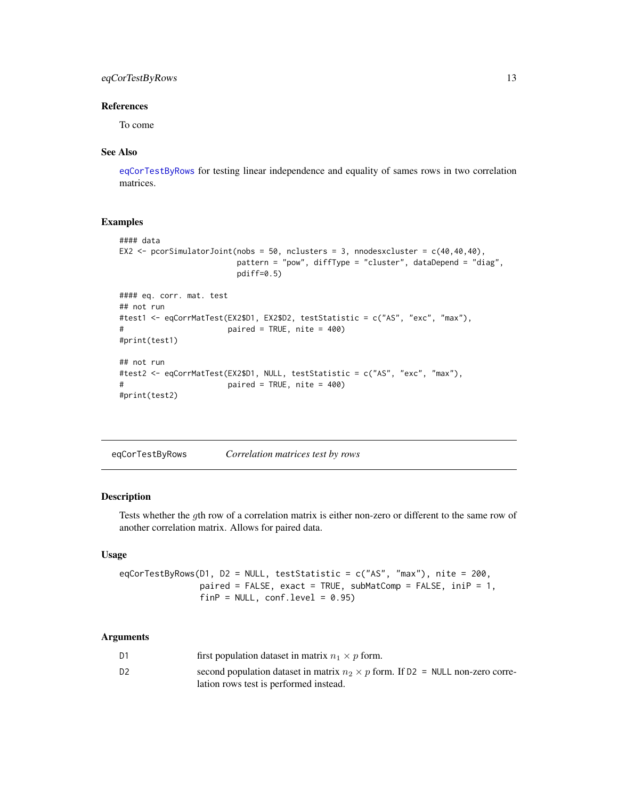# <span id="page-12-0"></span>eqCorTestByRows 13

# References

To come

# See Also

[eqCorTestByRows](#page-12-1) for testing linear independence and equality of sames rows in two correlation matrices.

# Examples

```
#### data
EX2 \le pcorSimulatorJoint(nobs = 50, nclusters = 3, nnodesxcluster = c(40, 40, 40),
                        pattern = "pow", diffType = "cluster", dataDepend = "diag",
                        pdiff=0.5)
#### eq. corr. mat. test
## not run
#test1 <- eqCorrMatTest(EX2$D1, EX2$D2, testStatistic = c("AS", "exc", "max"),
# paired = TRUE, nite = 400)
#print(test1)
## not run
#test2 <- eqCorrMatTest(EX2$D1, NULL, testStatistic = c("AS", "exc", "max"),
# paired = TRUE, nite = 400)
#print(test2)
```
<span id="page-12-1"></span>eqCorTestByRows *Correlation matrices test by rows*

# Description

Tests whether the gth row of a correlation matrix is either non-zero or different to the same row of another correlation matrix. Allows for paired data.

# Usage

eqCorTestByRows(D1, D2 = NULL, testStatistic = c("AS", "max"), nite = 200, paired = FALSE, exact = TRUE, subMatComp = FALSE, iniP = 1,  $finP = NULL$ ,  $conf $= 0.95$$ 

| D1             | first population dataset in matrix $n_1 \times p$ form.                               |
|----------------|---------------------------------------------------------------------------------------|
| D <sub>2</sub> | second population dataset in matrix $n_2 \times p$ form. If D2 = NULL non-zero corre- |
|                | lation rows test is performed instead.                                                |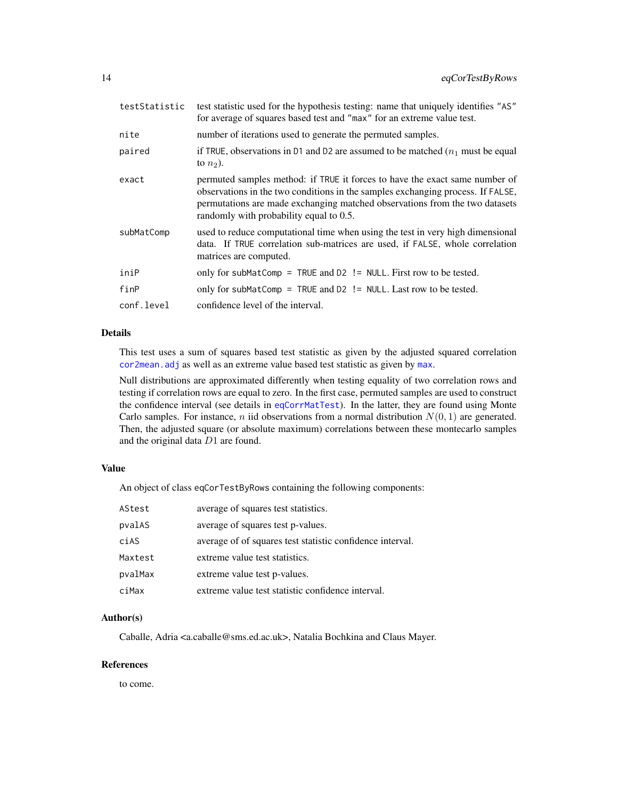<span id="page-13-0"></span>

| testStatistic | test statistic used for the hypothesis testing: name that uniquely identifies "AS"<br>for average of squares based test and "max" for an extreme value test.                                                                                                                             |
|---------------|------------------------------------------------------------------------------------------------------------------------------------------------------------------------------------------------------------------------------------------------------------------------------------------|
| nite          | number of iterations used to generate the permuted samples.                                                                                                                                                                                                                              |
| paired        | if TRUE, observations in D1 and D2 are assumed to be matched $(n_1$ must be equal<br>to $n_2$ ).                                                                                                                                                                                         |
| exact         | permuted samples method: if TRUE it forces to have the exact same number of<br>observations in the two conditions in the samples exchanging process. If FALSE,<br>permutations are made exchanging matched observations from the two datasets<br>randomly with probability equal to 0.5. |
| subMatComp    | used to reduce computational time when using the test in very high dimensional<br>data. If TRUE correlation sub-matrices are used, if FALSE, whole correlation<br>matrices are computed.                                                                                                 |
| iniP          | only for subMatComp = TRUE and $D2$ != NULL. First row to be tested.                                                                                                                                                                                                                     |
| finP          | only for subMatComp = TRUE and $D2$ != NULL. Last row to be tested.                                                                                                                                                                                                                      |
| conf.level    | confidence level of the interval.                                                                                                                                                                                                                                                        |

# Details

This test uses a sum of squares based test statistic as given by the adjusted squared correlation [cor2mean.adj](#page-9-1) as well as an extreme value based test statistic as given by [max](#page-0-0).

Null distributions are approximated differently when testing equality of two correlation rows and testing if correlation rows are equal to zero. In the first case, permuted samples are used to construct the confidence interval (see details in [eqCorrMatTest](#page-10-1)). In the latter, they are found using Monte Carlo samples. For instance, *n* iid observations from a normal distribution  $N(0, 1)$  are generated. Then, the adjusted square (or absolute maximum) correlations between these montecarlo samples and the original data D1 are found.

#### Value

An object of class eqCorTestByRows containing the following components:

| AStest  | average of squares test statistics.                       |
|---------|-----------------------------------------------------------|
| pvalAS  | average of squares test p-values.                         |
| ciAS    | average of of squares test statistic confidence interval. |
| Maxtest | extreme value test statistics.                            |
| pvalMax | extreme value test p-values.                              |
| ciMax   | extreme value test statistic confidence interval.         |

#### Author(s)

Caballe, Adria <a.caballe@sms.ed.ac.uk>, Natalia Bochkina and Claus Mayer.

# References

to come.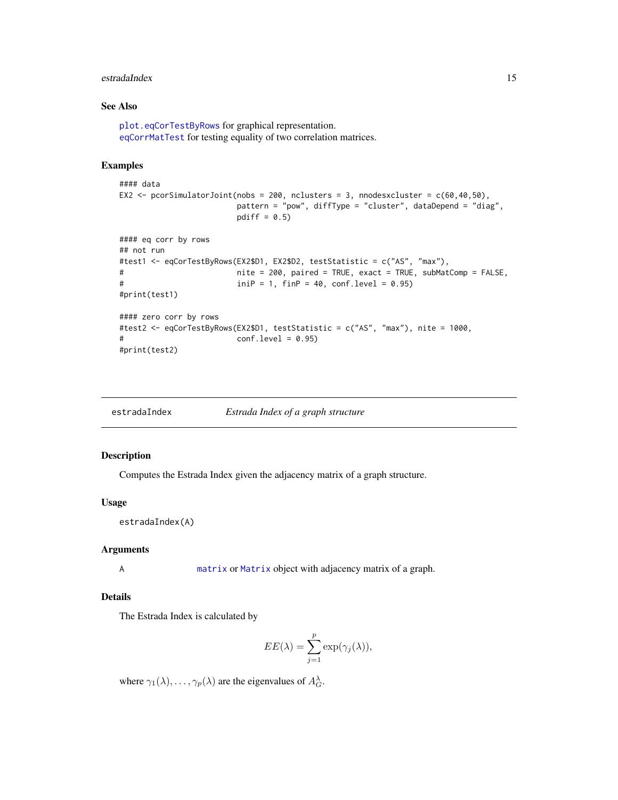#### <span id="page-14-0"></span>estradaIndex 15

# See Also

[plot.eqCorTestByRows](#page-27-1) for graphical representation. [eqCorrMatTest](#page-10-1) for testing equality of two correlation matrices.

# Examples

```
#### data
EX2 \le pcorSimulatorJoint(nobs = 200, nclusters = 3, nnodesxcluster = c(60, 40, 50),
                       pattern = "pow", diffType = "cluster", dataDepend = "diag",
                       pdiff = 0.5)
#### eq corr by rows
## not run
#test1 <- eqCorTestByRows(EX2$D1, EX2$D2, testStatistic = c("AS", "max"),
# nite = 200, paired = TRUE, exact = TRUE, subMatComp = FALSE,
# iniP = 1, finP = 40, conf.level = 0.95)
#print(test1)
#### zero corr by rows
#test2 <- eqCorTestByRows(EX2$D1, testStatistic = c("AS", "max"), nite = 1000,
# conf.level = 0.95)
#print(test2)
```

| estradaIndex | Estrada Index of a graph structure |
|--------------|------------------------------------|
|--------------|------------------------------------|

# Description

Computes the Estrada Index given the adjacency matrix of a graph structure.

#### Usage

estradaIndex(A)

# Arguments

A [matrix](#page-0-0) or [Matrix](#page-0-0) object with adjacency matrix of a graph.

# Details

The Estrada Index is calculated by

$$
EE(\lambda) = \sum_{j=1}^{p} \exp(\gamma_j(\lambda)),
$$

where  $\gamma_1(\lambda), \ldots, \gamma_p(\lambda)$  are the eigenvalues of  $A_G^{\lambda}$ .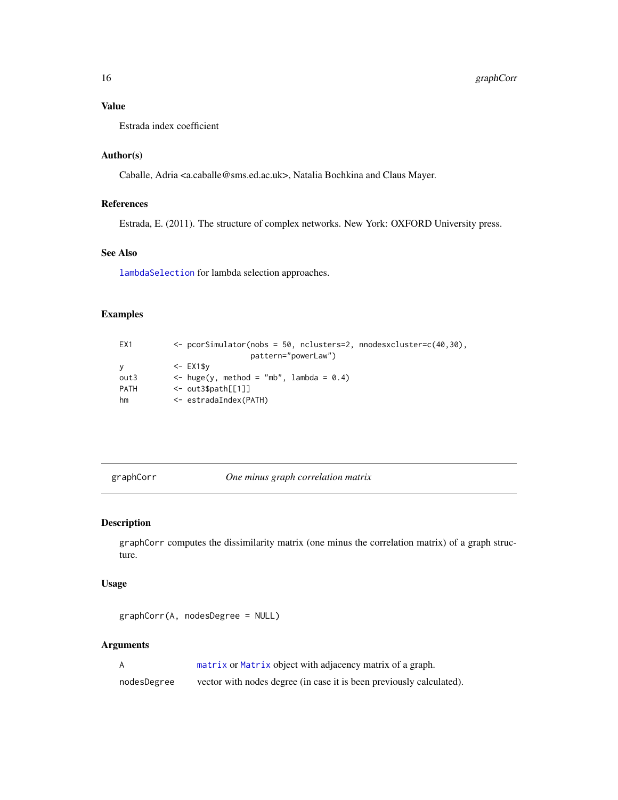# <span id="page-15-0"></span>Value

Estrada index coefficient

# Author(s)

Caballe, Adria <a.caballe@sms.ed.ac.uk>, Natalia Bochkina and Claus Mayer.

# References

Estrada, E. (2011). The structure of complex networks. New York: OXFORD University press.

#### See Also

[lambdaSelection](#page-19-1) for lambda selection approaches.

# Examples

| EX1      | $\leq$ pcorSimulator(nobs = 50, nclusters=2, nnodesxcluster=c(40,30), |
|----------|-----------------------------------------------------------------------|
|          | pattern="powerLaw")                                                   |
| <b>V</b> | $\le$ - EX1\$v                                                        |
| out3     | $\le$ huge(y, method = "mb", lambda = 0.4)                            |
| PATH     | $\leq$ out3\$path[[1]]                                                |
| hm       | <- estradaIndex(PATH)                                                 |

<span id="page-15-1"></span>graphCorr *One minus graph correlation matrix*

# Description

graphCorr computes the dissimilarity matrix (one minus the correlation matrix) of a graph structure.

# Usage

graphCorr(A, nodesDegree = NULL)

# Arguments

A [matrix](#page-0-0) or [Matrix](#page-0-0) object with adjacency matrix of a graph.

nodesDegree vector with nodes degree (in case it is been previously calculated).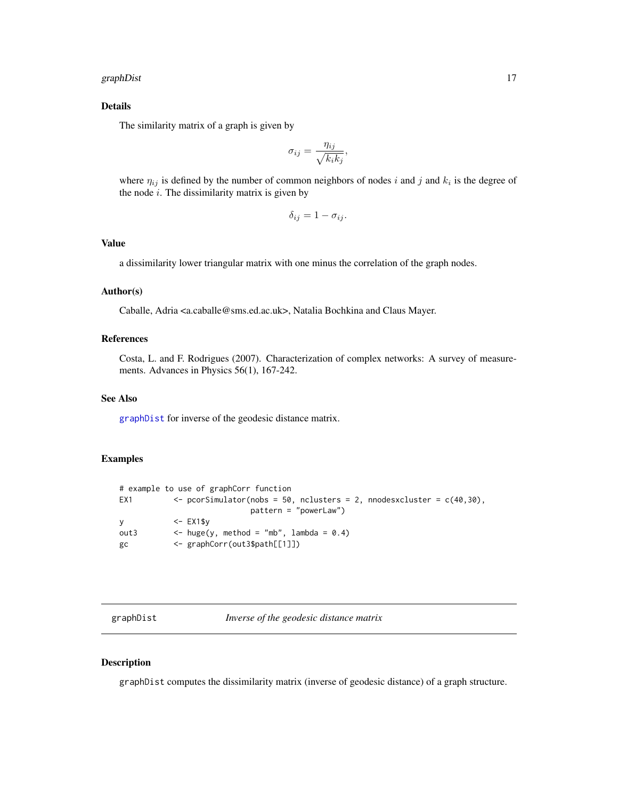#### <span id="page-16-0"></span>graphDist 2012 and 2012 and 2012 and 2012 and 2012 and 2012 and 2012 and 2012 and 2012 and 2012 and 2013 and 20

# Details

The similarity matrix of a graph is given by

$$
\sigma_{ij} = \frac{\eta_{ij}}{\sqrt{k_i k_j}},
$$

where  $\eta_{ij}$  is defined by the number of common neighbors of nodes i and j and  $k_i$  is the degree of the node  $i$ . The dissimilarity matrix is given by

$$
\delta_{ij} = 1 - \sigma_{ij}.
$$

# Value

a dissimilarity lower triangular matrix with one minus the correlation of the graph nodes.

#### Author(s)

Caballe, Adria <a.caballe@sms.ed.ac.uk>, Natalia Bochkina and Claus Mayer.

# References

Costa, L. and F. Rodrigues (2007). Characterization of complex networks: A survey of measurements. Advances in Physics 56(1), 167-242.

# See Also

[graphDist](#page-16-1) for inverse of the geodesic distance matrix.

# Examples

|          | # example to use of graphCorr function                                        |
|----------|-------------------------------------------------------------------------------|
| EX1      | $\leq$ pcorSimulator(nobs = 50, nclusters = 2, nnodesxcluster = $c(40, 30)$ , |
|          | $pattern = "powerLaw")$                                                       |
| <b>V</b> | $\le$ - EX1\$v                                                                |
| out3     | $\le$ huge(y, method = "mb", lambda = 0.4)                                    |
| gc       | <- graphCorr(out3\$path[[1]])                                                 |

<span id="page-16-1"></span>graphDist *Inverse of the geodesic distance matrix*

# Description

graphDist computes the dissimilarity matrix (inverse of geodesic distance) of a graph structure.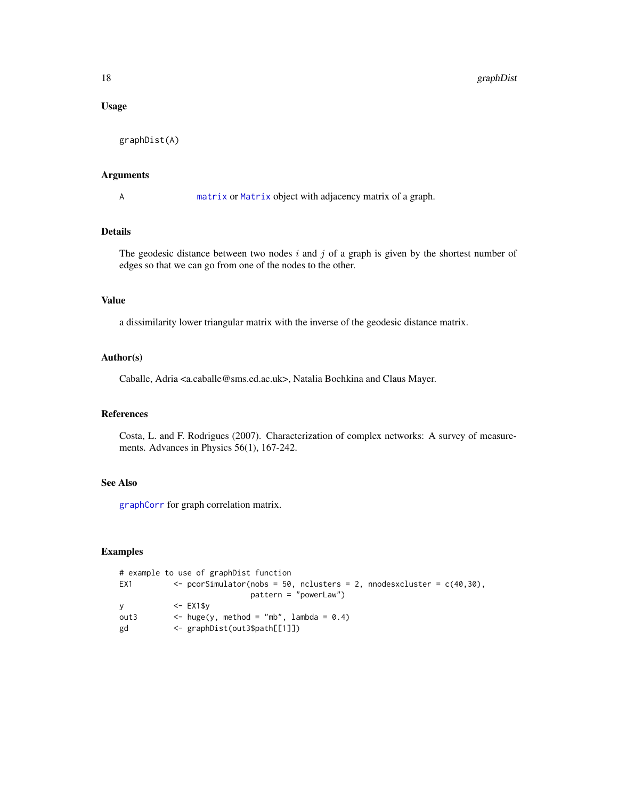# <span id="page-17-0"></span>Usage

graphDist(A)

#### Arguments

A [matrix](#page-0-0) or [Matrix](#page-0-0) object with adjacency matrix of a graph.

# Details

The geodesic distance between two nodes  $i$  and  $j$  of a graph is given by the shortest number of edges so that we can go from one of the nodes to the other.

# Value

a dissimilarity lower triangular matrix with the inverse of the geodesic distance matrix.

#### Author(s)

Caballe, Adria <a.caballe@sms.ed.ac.uk>, Natalia Bochkina and Claus Mayer.

# References

Costa, L. and F. Rodrigues (2007). Characterization of complex networks: A survey of measurements. Advances in Physics 56(1), 167-242.

# See Also

[graphCorr](#page-15-1) for graph correlation matrix.

#### Examples

```
# example to use of graphDist function
EX1 \langle - pcorSimulator(nobs = 50, nclusters = 2, nnodesxcluster = c(40, 30),
                          pattern = "powerLaw")
y <- EX1$y
out3 \leftarrow huge(y, method = "mb", lambda = 0.4)
gd <- graphDist(out3$path[[1]])
```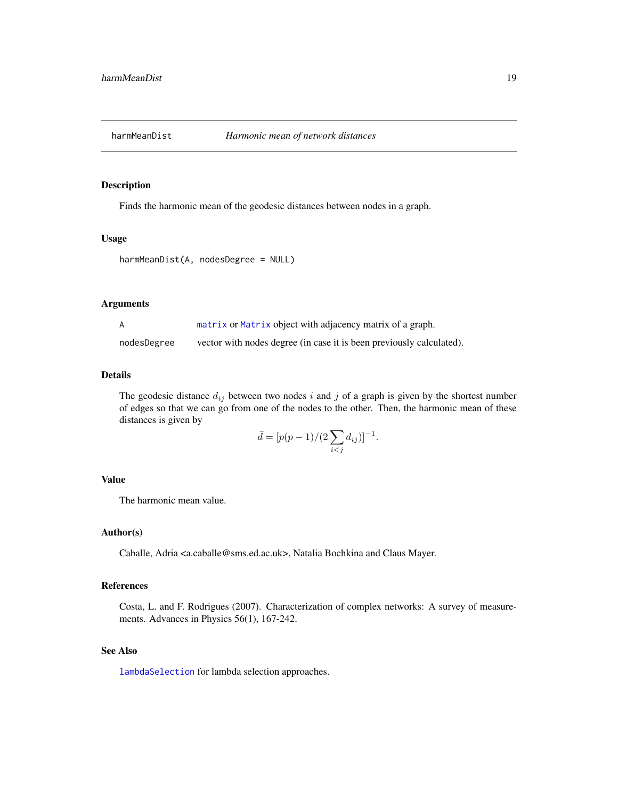<span id="page-18-0"></span>

# Description

Finds the harmonic mean of the geodesic distances between nodes in a graph.

# Usage

```
harmMeanDist(A, nodesDegree = NULL)
```
#### Arguments

|             | matrix or Matrix object with adjacency matrix of a graph.            |
|-------------|----------------------------------------------------------------------|
| nodesDegree | vector with nodes degree (in case it is been previously calculated). |

#### Details

The geodesic distance  $d_{ij}$  between two nodes i and j of a graph is given by the shortest number of edges so that we can go from one of the nodes to the other. Then, the harmonic mean of these distances is given by

$$
\bar{d} = [p(p-1)/(2\sum_{i < j} d_{ij})]^{-1}.
$$

# Value

The harmonic mean value.

# Author(s)

Caballe, Adria <a.caballe@sms.ed.ac.uk>, Natalia Bochkina and Claus Mayer.

#### References

Costa, L. and F. Rodrigues (2007). Characterization of complex networks: A survey of measurements. Advances in Physics 56(1), 167-242.

# See Also

[lambdaSelection](#page-19-1) for lambda selection approaches.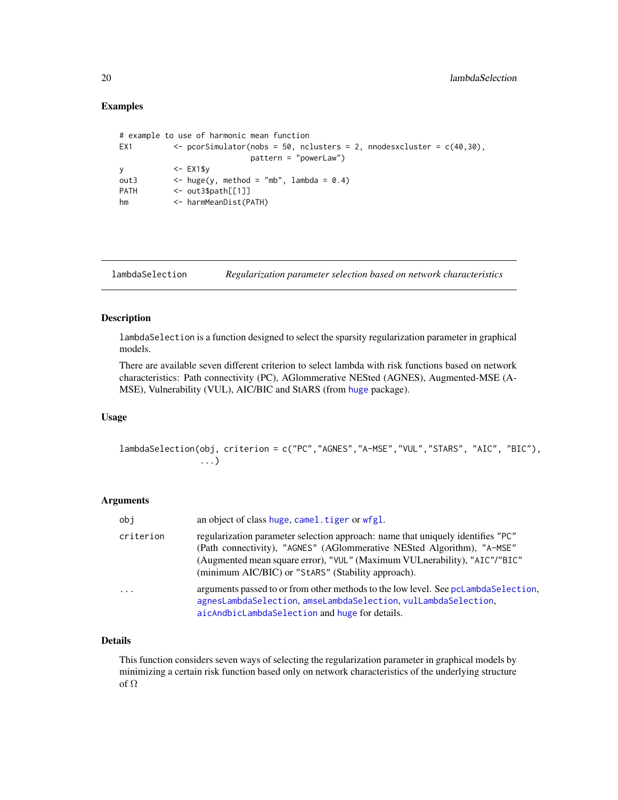# <span id="page-19-0"></span>Examples

```
# example to use of harmonic mean function
EX1 \langle - pcorSimulator(nobs = 50, nclusters = 2, nnodesxcluster = c(40, 30),
                          pattern = "powerLaw")
y <- EX1$y
out3 \leftarrow huge(y, method = "mb", lambda = 0.4)
PATH <- out3$path[[1]]
hm <- harmMeanDist(PATH)
```
<span id="page-19-1"></span>lambdaSelection *Regularization parameter selection based on network characteristics*

#### Description

lambdaSelection is a function designed to select the sparsity regularization parameter in graphical models.

There are available seven different criterion to select lambda with risk functions based on network characteristics: Path connectivity (PC), AGlommerative NESted (AGNES), Augmented-MSE (A-MSE), Vulnerability (VUL), AIC/BIC and StARS (from [huge](#page-0-0) package).

# Usage

lambdaSelection(obj, criterion = c("PC","AGNES","A-MSE","VUL","STARS", "AIC", "BIC"), ...)

#### Arguments

| obi        | an object of class huge, camel. tiger or wfgl.                                                                                                                                                                                                                                               |
|------------|----------------------------------------------------------------------------------------------------------------------------------------------------------------------------------------------------------------------------------------------------------------------------------------------|
| criterion  | regularization parameter selection approach: name that uniquely identifies "PC"<br>(Path connectivity), "AGNES" (AGlommerative NESted Algorithm), "A-MSE"<br>(Augmented mean square error), "VUL" (Maximum VULnerability), "AIC"/"BIC"<br>(minimum AIC/BIC) or "Stars" (Stability approach). |
| $\ddots$ . | arguments passed to or from other methods to the low level. See pcLambdaSelection,<br>agnesLambdaSelection, amseLambdaSelection, vulLambdaSelection,<br>aicAndbicLambdaSelection and huge for details.                                                                                       |

# Details

This function considers seven ways of selecting the regularization parameter in graphical models by minimizing a certain risk function based only on network characteristics of the underlying structure of Ω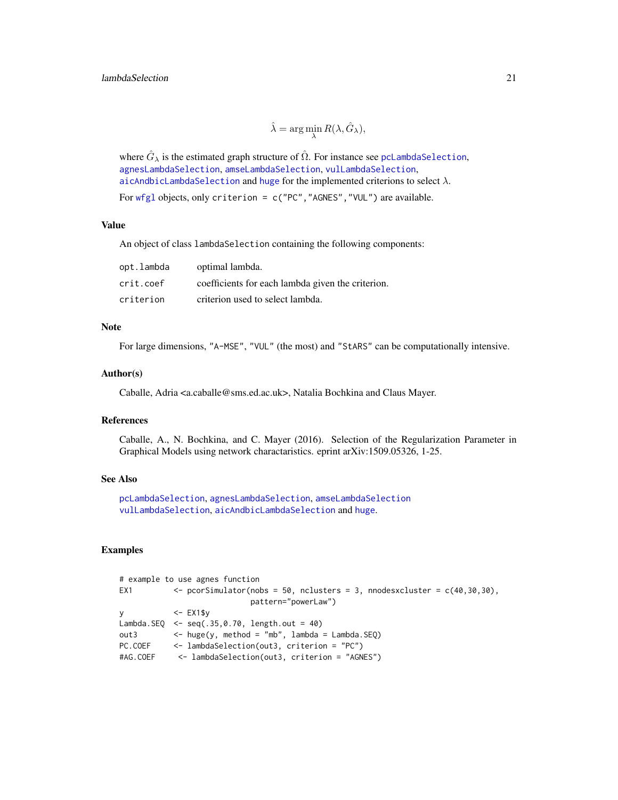$$
\hat{\lambda} = \arg\min_{\lambda} R(\lambda, \hat{G}_{\lambda}),
$$

<span id="page-20-0"></span>where  $\hat{G}_{\lambda}$  is the estimated graph structure of  $\hat{\Omega}$ . For instance see [pcLambdaSelection](#page-21-1), [agnesLambdaSelection](#page-3-1), [amseLambdaSelection](#page-6-1), [vulLambdaSelection](#page-33-1), [aicAndbicLambdaSelection](#page-5-1) and [huge](#page-0-0) for the implemented criterions to select  $\lambda$ .

For [wfgl](#page-34-1) objects, only criterion = c("PC","AGNES","VUL") are available.

# Value

An object of class lambdaSelection containing the following components:

| opt.lambda | optimal lambda.                                   |
|------------|---------------------------------------------------|
| crit.coef  | coefficients for each lambda given the criterion. |
| criterion  | criterion used to select lambda.                  |

# Note

For large dimensions, "A-MSE", "VUL" (the most) and "StARS" can be computationally intensive.

#### Author(s)

Caballe, Adria <a.caballe@sms.ed.ac.uk>, Natalia Bochkina and Claus Mayer.

#### References

Caballe, A., N. Bochkina, and C. Mayer (2016). Selection of the Regularization Parameter in Graphical Models using network charactaristics. eprint arXiv:1509.05326, 1-25.

# See Also

[pcLambdaSelection](#page-21-1), [agnesLambdaSelection](#page-3-1), [amseLambdaSelection](#page-6-1) [vulLambdaSelection](#page-33-1), [aicAndbicLambdaSelection](#page-5-1) and [huge](#page-0-0).

# Examples

```
# example to use agnes function
EX1 \leq pcorSimulator(nobs = 50, nclusters = 3, nnodesxcluster = c(40, 30, 30),
                           pattern="powerLaw")
y <- EX1$y
Lambda.SEQ \leq seq(.35,0.70, length.out = 40)
out3 \leftarrow huge(y, method = "mb", lambda = Lambda.SEQ)
PC.COEF <- lambdaSelection(out3, criterion = "PC")
#AG.COEF <- lambdaSelection(out3, criterion = "AGNES")
```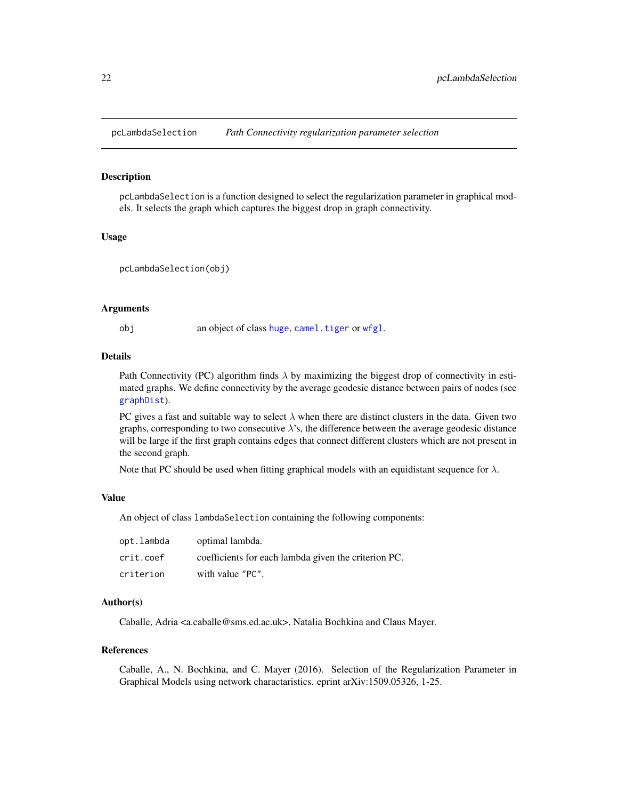<span id="page-21-1"></span><span id="page-21-0"></span>

# Description

pcLambdaSelection is a function designed to select the regularization parameter in graphical models. It selects the graph which captures the biggest drop in graph connectivity.

# Usage

```
pcLambdaSelection(obj)
```
#### Arguments

obj an object of class [huge](#page-0-0), [camel.tiger](#page-0-0) or [wfgl](#page-34-1).

# Details

Path Connectivity (PC) algorithm finds  $\lambda$  by maximizing the biggest drop of connectivity in estimated graphs. We define connectivity by the average geodesic distance between pairs of nodes (see [graphDist](#page-16-1)).

PC gives a fast and suitable way to select  $\lambda$  when there are distinct clusters in the data. Given two graphs, corresponding to two consecutive  $\lambda$ 's, the difference between the average geodesic distance will be large if the first graph contains edges that connect different clusters which are not present in the second graph.

Note that PC should be used when fitting graphical models with an equidistant sequence for  $\lambda$ .

#### Value

An object of class lambdaSelection containing the following components:

| opt.lambda | optimal lambda.                                      |
|------------|------------------------------------------------------|
| crit.coef  | coefficients for each lambda given the criterion PC. |
| criterion  | with value "PC".                                     |

#### Author(s)

Caballe, Adria <a.caballe@sms.ed.ac.uk>, Natalia Bochkina and Claus Mayer.

#### References

Caballe, A., N. Bochkina, and C. Mayer (2016). Selection of the Regularization Parameter in Graphical Models using network charactaristics. eprint arXiv:1509.05326, 1-25.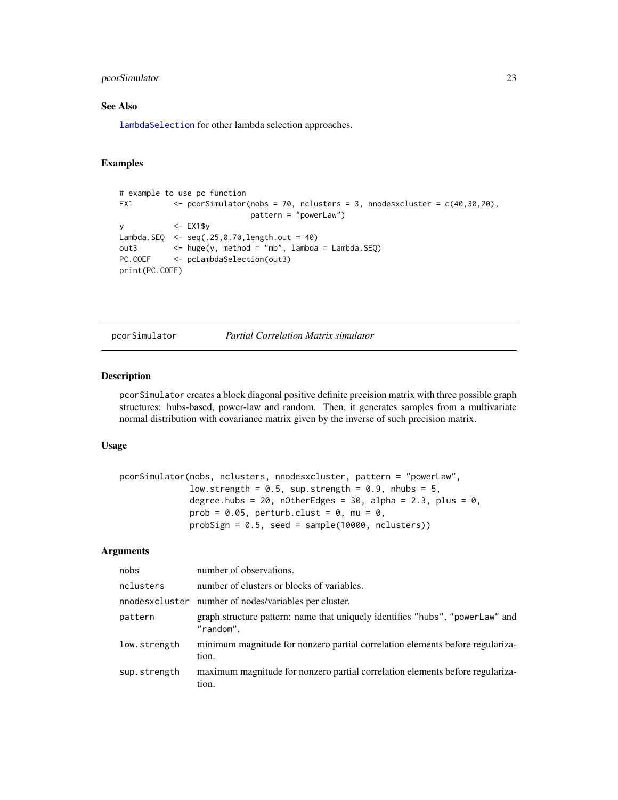# <span id="page-22-0"></span>pcorSimulator 23

# See Also

[lambdaSelection](#page-19-1) for other lambda selection approaches.

# Examples

```
# example to use pc function
EX1 \leq pcorSimulator(nobs = 70, nclusters = 3, nnodesxcluster = c(40, 30, 20),
                          pattern = "powerLaw")
y <- EX1$y
Lambda.SEQ <- seq(.25,0.70,length.out = 40)
out3 <- huge(y, method = "mb", lambda = Lambda.SEQ)
PC.COEF <- pcLambdaSelection(out3)
print(PC.COEF)
```
<span id="page-22-1"></span>

pcorSimulator *Partial Correlation Matrix simulator*

#### Description

pcorSimulator creates a block diagonal positive definite precision matrix with three possible graph structures: hubs-based, power-law and random. Then, it generates samples from a multivariate normal distribution with covariance matrix given by the inverse of such precision matrix.

#### Usage

```
pcorSimulator(nobs, nclusters, nnodesxcluster, pattern = "powerLaw",
              low.strength = 0.5, sup.strength = 0.9, nhubs = 5,
              degree.hubs = 20, nOtherEdges = 30, alpha = 2.3, plus = 0,
              prob = 0.05, perturb.clust = 0, mu = 0,
              probSign = 0.5, seed = sample(10000, nclusters))
```

| nobs         | number of observations.                                                                           |
|--------------|---------------------------------------------------------------------------------------------------|
| nclusters    | number of clusters or blocks of variables.                                                        |
|              | nnodes x cluster number of nodes/variables per cluster.                                           |
| pattern      | graph structure pattern: name that uniquely identifies "hubs", "powerLaw" and<br>$"$ random $"$ . |
| low.strength | minimum magnitude for nonzero partial correlation elements before regulariza-<br>tion.            |
| sup.strength | maximum magnitude for nonzero partial correlation elements before regulariza-<br>tion.            |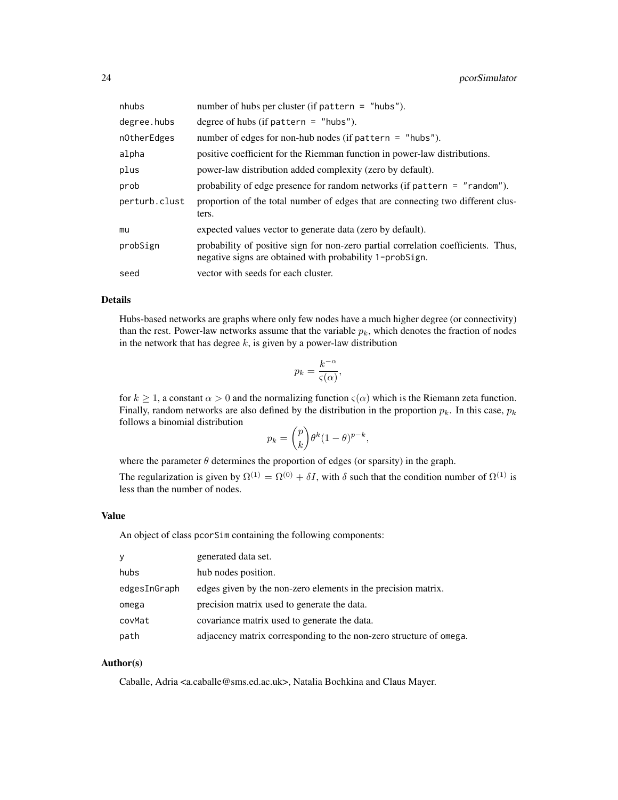| nhubs         | number of hubs per cluster (if pattern $=$ "hubs").                                                                                           |
|---------------|-----------------------------------------------------------------------------------------------------------------------------------------------|
| degree.hubs   | degree of hubs (if pattern $=$ "hubs").                                                                                                       |
| nOtherEdges   | number of edges for non-hub nodes (if pattern $=$ "hubs").                                                                                    |
| alpha         | positive coefficient for the Riemman function in power-law distributions.                                                                     |
| plus          | power-law distribution added complexity (zero by default).                                                                                    |
| prob          | probability of edge presence for random networks (if pattern = "random").                                                                     |
| perturb.clust | proportion of the total number of edges that are connecting two different clus-<br>ters.                                                      |
| mu            | expected values vector to generate data (zero by default).                                                                                    |
| probSign      | probability of positive sign for non-zero partial correlation coefficients. Thus,<br>negative signs are obtained with probability 1-probsign. |
| seed          | vector with seeds for each cluster.                                                                                                           |

# Details

Hubs-based networks are graphs where only few nodes have a much higher degree (or connectivity) than the rest. Power-law networks assume that the variable  $p_k$ , which denotes the fraction of nodes in the network that has degree  $k$ , is given by a power-law distribution

$$
p_k = \frac{k^{-\alpha}}{\varsigma(\alpha)},
$$

for  $k \ge 1$ , a constant  $\alpha > 0$  and the normalizing function  $\varsigma(\alpha)$  which is the Riemann zeta function. Finally, random networks are also defined by the distribution in the proportion  $p_k$ . In this case,  $p_k$ follows a binomial distribution

$$
p_k = \binom{p}{k} \theta^k (1 - \theta)^{p-k},
$$

where the parameter  $\theta$  determines the proportion of edges (or sparsity) in the graph.

The regularization is given by  $\Omega^{(1)} = \Omega^{(0)} + \delta I$ , with  $\delta$  such that the condition number of  $\Omega^{(1)}$  is less than the number of nodes.

# Value

An object of class pcorSim containing the following components:

| y            | generated data set.                                                |
|--------------|--------------------------------------------------------------------|
| hubs         | hub nodes position.                                                |
| edgesInGraph | edges given by the non-zero elements in the precision matrix.      |
| omega        | precision matrix used to generate the data.                        |
| covMat       | covariance matrix used to generate the data.                       |
| path         | adjacency matrix corresponding to the non-zero structure of omega. |

# Author(s)

Caballe, Adria <a.caballe@sms.ed.ac.uk>, Natalia Bochkina and Claus Mayer.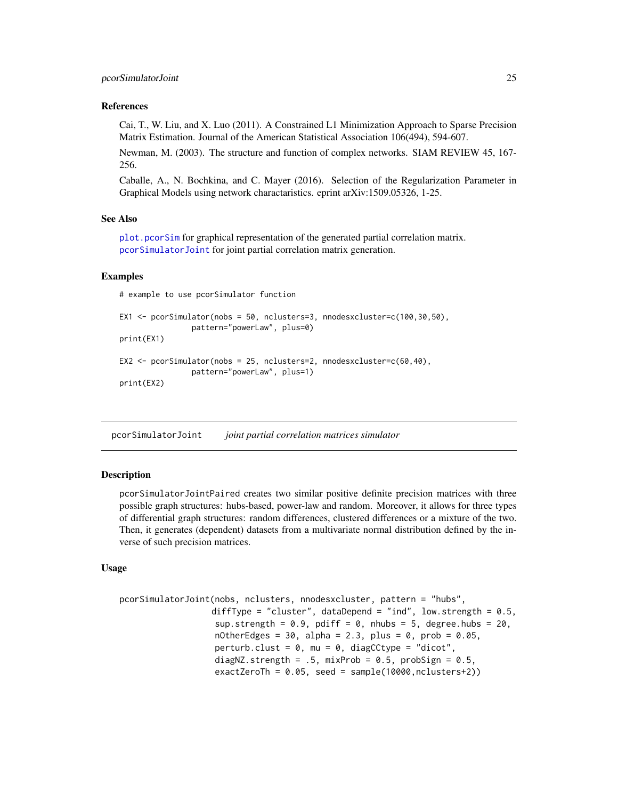#### <span id="page-24-0"></span>References

Cai, T., W. Liu, and X. Luo (2011). A Constrained L1 Minimization Approach to Sparse Precision Matrix Estimation. Journal of the American Statistical Association 106(494), 594-607.

Newman, M. (2003). The structure and function of complex networks. SIAM REVIEW 45, 167- 256.

Caballe, A., N. Bochkina, and C. Mayer (2016). Selection of the Regularization Parameter in Graphical Models using network charactaristics. eprint arXiv:1509.05326, 1-25.

#### See Also

[plot.pcorSim](#page-28-1) for graphical representation of the generated partial correlation matrix. [pcorSimulatorJoint](#page-24-1) for joint partial correlation matrix generation.

# Examples

# example to use pcorSimulator function

```
EX1 <- pcorSimulator(nobs = 50, nclusters=3, nnodesxcluster=c(100,30,50),
                pattern="powerLaw", plus=0)
print(EX1)
EX2 <- pcorSimulator(nobs = 25, nclusters=2, nnodesxcluster=c(60,40),
                pattern="powerLaw", plus=1)
print(EX2)
```
<span id="page-24-1"></span>pcorSimulatorJoint *joint partial correlation matrices simulator*

# **Description**

pcorSimulatorJointPaired creates two similar positive definite precision matrices with three possible graph structures: hubs-based, power-law and random. Moreover, it allows for three types of differential graph structures: random differences, clustered differences or a mixture of the two. Then, it generates (dependent) datasets from a multivariate normal distribution defined by the inverse of such precision matrices.

# Usage

```
pcorSimulatorJoint(nobs, nclusters, nnodesxcluster, pattern = "hubs",
                  diffType = "cluster", dataDepend = "ind", low.strength = 0.5,
                   sup.strength = 0.9, pdiff = 0, nhubs = 5, degree.hubs = 20.
                   nOtherEdges = 30, alpha = 2.3, plus = 0, prob = 0.05,
                   perturb.clust = \theta, mu = \theta, diagCCtype = "dicot",
                   diagNZ.strength = .5, mixProb = 0.5, probSign = 0.5,
                   exactZeroTh = 0.05, seed = sample(10000,nclusters+2))
```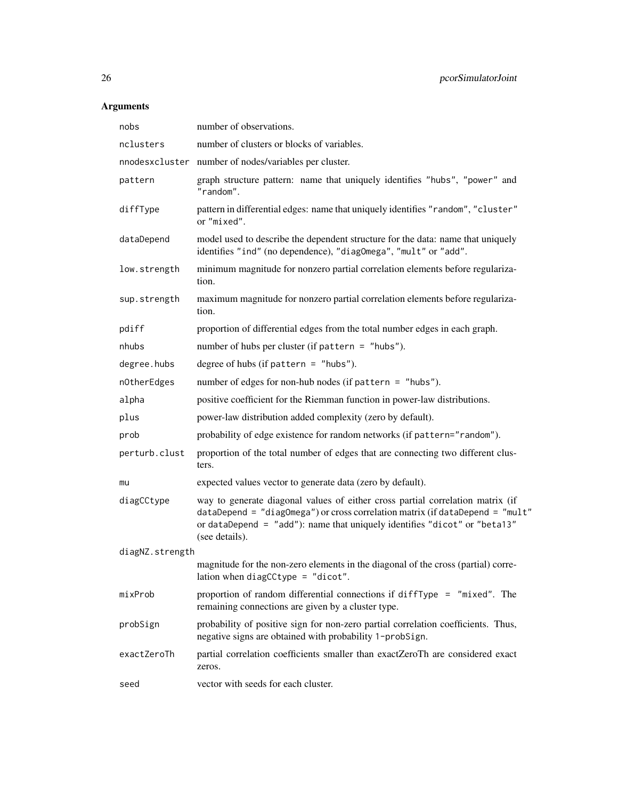| nobs            | number of observations.                                                                                                                                                                                                                                        |
|-----------------|----------------------------------------------------------------------------------------------------------------------------------------------------------------------------------------------------------------------------------------------------------------|
| nclusters       | number of clusters or blocks of variables.                                                                                                                                                                                                                     |
|                 | nnodesxcluster number of nodes/variables per cluster.                                                                                                                                                                                                          |
| pattern         | graph structure pattern: name that uniquely identifies "hubs", "power" and<br>"random".                                                                                                                                                                        |
| diffType        | pattern in differential edges: name that uniquely identifies "random", "cluster"<br>or "mixed".                                                                                                                                                                |
| dataDepend      | model used to describe the dependent structure for the data: name that uniquely<br>identifies "ind" (no dependence), "diagOmega", "mult" or "add".                                                                                                             |
| low.strength    | minimum magnitude for nonzero partial correlation elements before regulariza-<br>tion.                                                                                                                                                                         |
| sup.strength    | maximum magnitude for nonzero partial correlation elements before regulariza-<br>tion.                                                                                                                                                                         |
| pdiff           | proportion of differential edges from the total number edges in each graph.                                                                                                                                                                                    |
| nhubs           | number of hubs per cluster (if pattern = $"hubs"$ ).                                                                                                                                                                                                           |
| degree.hubs     | degree of hubs (if pattern = $"hubs".$                                                                                                                                                                                                                         |
| nOtherEdges     | number of edges for non-hub nodes (if pattern = "hubs").                                                                                                                                                                                                       |
| alpha           | positive coefficient for the Riemman function in power-law distributions.                                                                                                                                                                                      |
| plus            | power-law distribution added complexity (zero by default).                                                                                                                                                                                                     |
| prob            | probability of edge existence for random networks (if pattern="random").                                                                                                                                                                                       |
| perturb.clust   | proportion of the total number of edges that are connecting two different clus-<br>ters.                                                                                                                                                                       |
| mu              | expected values vector to generate data (zero by default).                                                                                                                                                                                                     |
| diagCCtype      | way to generate diagonal values of either cross partial correlation matrix (if<br>dataDepend = "diagOmega") or cross correlation matrix (if dataDepend = "mult"<br>or dataDepend = "add"): name that uniquely identifies "dicot" or "beta13"<br>(see details). |
| diagNZ.strength |                                                                                                                                                                                                                                                                |
|                 | magnitude for the non-zero elements in the diagonal of the cross (partial) corre-<br>lation when diagCCtype = $"divot".$                                                                                                                                       |
| mixProb         | proportion of random differential connections if difflype $=$ "mixed". The<br>remaining connections are given by a cluster type.                                                                                                                               |
| probSign        | probability of positive sign for non-zero partial correlation coefficients. Thus,<br>negative signs are obtained with probability 1-probSign.                                                                                                                  |
| exactZeroTh     | partial correlation coefficients smaller than exactZeroTh are considered exact<br>zeros.                                                                                                                                                                       |
| seed            | vector with seeds for each cluster.                                                                                                                                                                                                                            |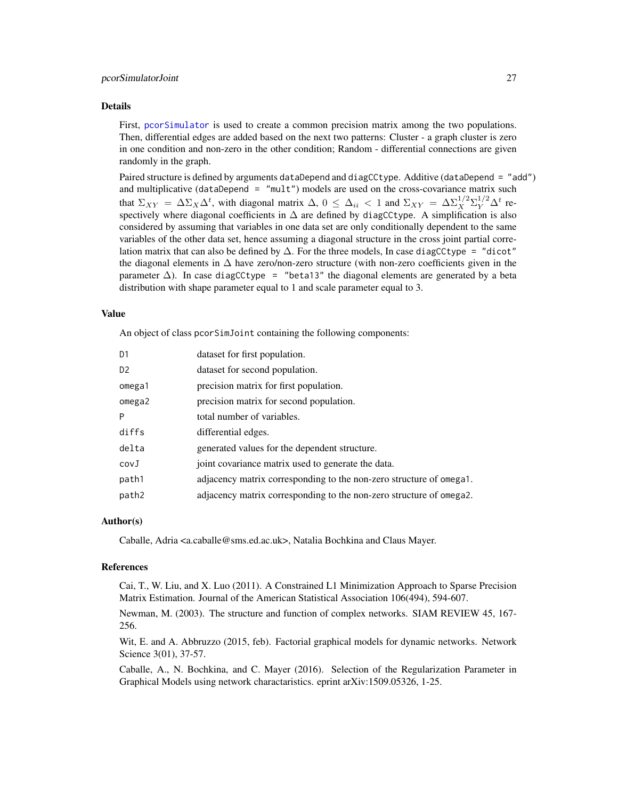#### <span id="page-26-0"></span>Details

First, [pcorSimulator](#page-22-1) is used to create a common precision matrix among the two populations. Then, differential edges are added based on the next two patterns: Cluster - a graph cluster is zero in one condition and non-zero in the other condition; Random - differential connections are given randomly in the graph.

Paired structure is defined by arguments dataDepend and diagCCtype. Additive (dataDepend = "add") and multiplicative (dataDepend =  $"mult")$  models are used on the cross-covariance matrix such that  $\Sigma_{XY} = \Delta \Sigma_X \Delta^t$ , with diagonal matrix  $\Delta$ ,  $0 \leq \Delta_{ii} < 1$  and  $\Sigma_{XY} = \Delta \Sigma_X^{1/2} \Sigma_Y^{1/2} \Delta^t$  respectively where diagonal coefficients in  $\Delta$  are defined by diagCCtype. A simplification is also considered by assuming that variables in one data set are only conditionally dependent to the same variables of the other data set, hence assuming a diagonal structure in the cross joint partial correlation matrix that can also be defined by  $\Delta$ . For the three models, In case diagCCtype = "dicot" the diagonal elements in  $\Delta$  have zero/non-zero structure (with non-zero coefficients given in the parameter  $\Delta$ ). In case diagCCtype = "beta13" the diagonal elements are generated by a beta distribution with shape parameter equal to 1 and scale parameter equal to 3.

#### Value

An object of class pcorSimJoint containing the following components:

| D1             | dataset for first population.                                       |
|----------------|---------------------------------------------------------------------|
| D <sub>2</sub> | dataset for second population.                                      |
| omega1         | precision matrix for first population.                              |
| omega2         | precision matrix for second population.                             |
| Þ              | total number of variables.                                          |
| diffs          | differential edges.                                                 |
| delta          | generated values for the dependent structure.                       |
| covJ           | joint covariance matrix used to generate the data.                  |
| path1          | adjacency matrix corresponding to the non-zero structure of omega1. |
| path2          | adjacency matrix corresponding to the non-zero structure of omega2. |
|                |                                                                     |

# Author(s)

Caballe, Adria <a.caballe@sms.ed.ac.uk>, Natalia Bochkina and Claus Mayer.

#### References

Cai, T., W. Liu, and X. Luo (2011). A Constrained L1 Minimization Approach to Sparse Precision Matrix Estimation. Journal of the American Statistical Association 106(494), 594-607.

Newman, M. (2003). The structure and function of complex networks. SIAM REVIEW 45, 167- 256.

Wit, E. and A. Abbruzzo (2015, feb). Factorial graphical models for dynamic networks. Network Science 3(01), 37-57.

Caballe, A., N. Bochkina, and C. Mayer (2016). Selection of the Regularization Parameter in Graphical Models using network charactaristics. eprint arXiv:1509.05326, 1-25.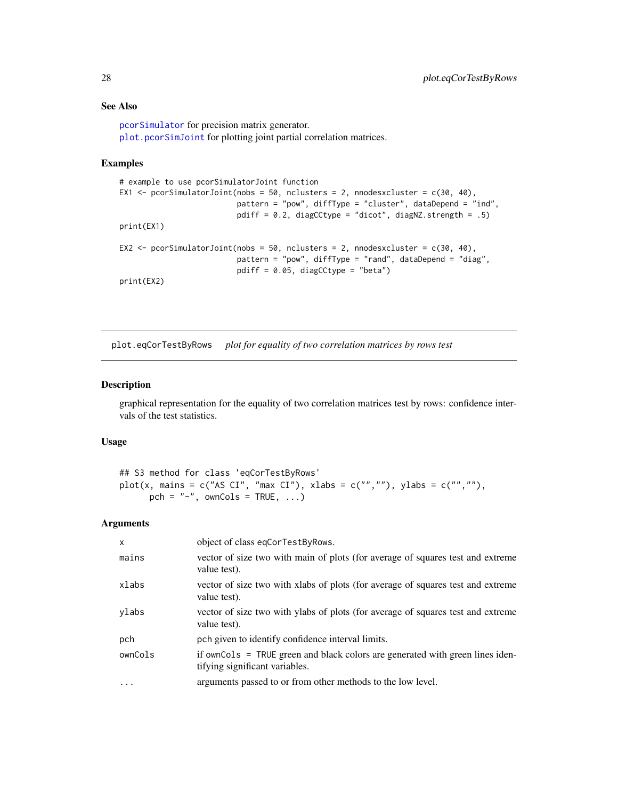# See Also

[pcorSimulator](#page-22-1) for precision matrix generator. [plot.pcorSimJoint](#page-29-1) for plotting joint partial correlation matrices.

# Examples

```
# example to use pcorSimulatorJoint function
EX1 <- pcorSimulatorJoint(nobs = 50, nclusters = 2, nnodesxcluster = c(30, 40),
                         pattern = "pow", diffType = "cluster", dataDepend = "ind",
                          pdiff = 0.2, diagCCtype = "dicot", diagNZ.strength = .5)
print(EX1)
EX2 \le pcorSimulatorJoint(nobs = 50, nclusters = 2, nnodesxcluster = c(30, 40),
                          pattern = "pow", diffType = "rand", dataDepend = "diag",
                          pdiff = 0.05, diagCCtype = "beta")
print(EX2)
```
<span id="page-27-1"></span>plot.eqCorTestByRows *plot for equality of two correlation matrices by rows test*

# Description

graphical representation for the equality of two correlation matrices test by rows: confidence intervals of the test statistics.

# Usage

```
## S3 method for class 'eqCorTestByRows'
plot(x, mains = c("AS CI", "max CI"), xlabs = c("",""), ylabs = c("",""),
      pch = "-", ownCols = TRUE, ...)
```

| $\times$  | object of class eqCorTestByRows.                                                                                |
|-----------|-----------------------------------------------------------------------------------------------------------------|
| mains     | vector of size two with main of plots (for average of squares test and extreme<br>value test).                  |
| xlabs     | vector of size two with xlabs of plots (for average of squares test and extreme<br>value test).                 |
| ylabs     | vector of size two with ylabs of plots (for average of squares test and extreme<br>value test).                 |
| pch       | pch given to identify confidence interval limits.                                                               |
| ownCols   | if ownCols = TRUE green and black colors are generated with green lines iden-<br>tifying significant variables. |
| $\ddotsc$ | arguments passed to or from other methods to the low level.                                                     |

<span id="page-27-0"></span>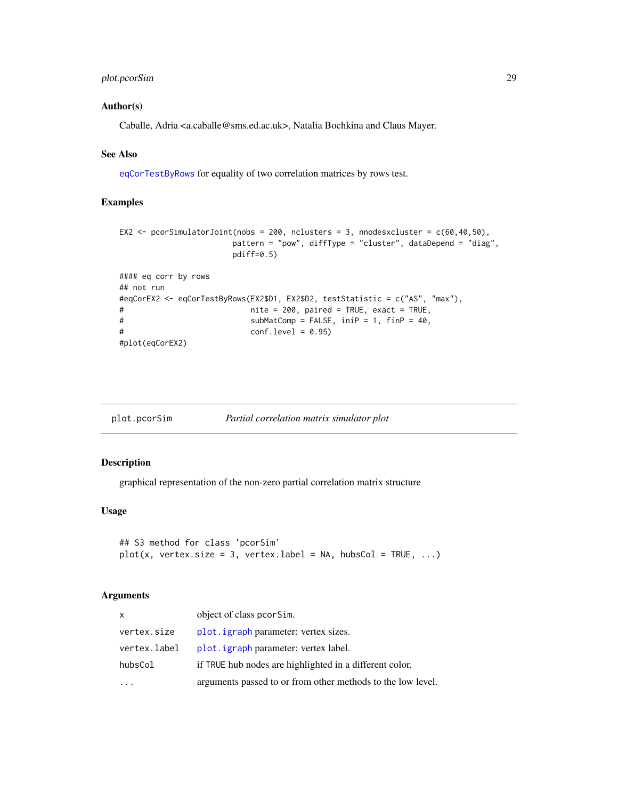# <span id="page-28-0"></span>plot.pcorSim 29

# Author(s)

Caballe, Adria <a.caballe@sms.ed.ac.uk>, Natalia Bochkina and Claus Mayer.

# See Also

[eqCorTestByRows](#page-12-1) for equality of two correlation matrices by rows test.

#### Examples

```
EX2 \le pcorSimulatorJoint(nobs = 200, nclusters = 3, nnodesxcluster = c(60, 40, 50),
                    pattern = "pow", diffType = "cluster", dataDepend = "diag",
                    pdiff=0.5)
#### eq corr by rows
## not run
#eqCorEX2 <- eqCorTestByRows(EX2$D1, EX2$D2, testStatistic = c("AS", "max"),
# nite = 200, paired = TRUE, exact = TRUE,
# subMatComp = FALSE, iniP = 1, finP = 40,
# conf.level = 0.95)
#plot(eqCorEX2)
```
<span id="page-28-1"></span>

| plot.pcorSim | Partial correlation matrix simulator plot |  |
|--------------|-------------------------------------------|--|
|              |                                           |  |

# Description

graphical representation of the non-zero partial correlation matrix structure

#### Usage

```
## S3 method for class 'pcorSim'
plot(x, vertex.size = 3, vertexu = 3, vertex label = NA, hubsCol = TRUE, ...)
```

| X            | object of class pcorsim.                                    |
|--------------|-------------------------------------------------------------|
| vertex.size  | plot. <i>igraph</i> parameter: vertex sizes.                |
| vertex.label | plot. igraph parameter: vertex label.                       |
| hubsCol      | if TRUE hub nodes are highlighted in a different color.     |
|              | arguments passed to or from other methods to the low level. |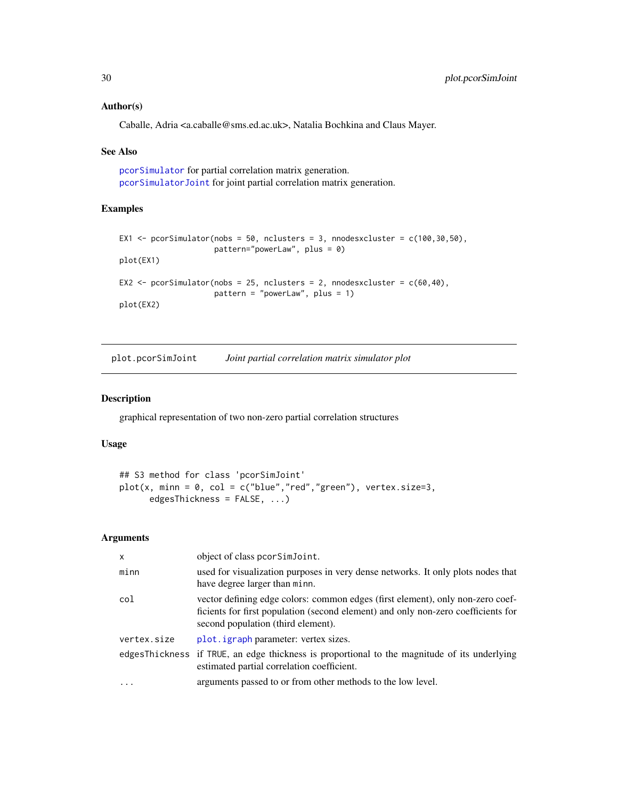# Author(s)

Caballe, Adria <a.caballe@sms.ed.ac.uk>, Natalia Bochkina and Claus Mayer.

#### See Also

[pcorSimulator](#page-22-1) for partial correlation matrix generation. [pcorSimulatorJoint](#page-24-1) for joint partial correlation matrix generation.

# Examples

```
EX1 <- pcorSimulator(nobs = 50, nclusters = 3, nnodesxcluster = c(100, 30, 50),
                     pattern="powerLaw", plus = 0)
plot(EX1)
EX2 <- pcorSimulator(nobs = 25, nclusters = 2, nnodesxcluster = c(60, 40),
                     pattern = "powerLaw", plus = 1)
plot(EX2)
```
<span id="page-29-1"></span>plot.pcorSimJoint *Joint partial correlation matrix simulator plot*

#### Description

graphical representation of two non-zero partial correlation structures

# Usage

```
## S3 method for class 'pcorSimJoint'
plot(x, min = 0, col = c("blue", "red", "green"), vertex.size=3,edgesThickness = FALSE, ...)
```

| $\mathsf{x}$ | object of class pcorSimJoint.                                                                                                                                                                             |
|--------------|-----------------------------------------------------------------------------------------------------------------------------------------------------------------------------------------------------------|
| minn         | used for visualization purposes in very dense networks. It only plots nodes that<br>have degree larger than minn.                                                                                         |
| col          | vector defining edge colors: common edges (first element), only non-zero coef-<br>ficients for first population (second element) and only non-zero coefficients for<br>second population (third element). |
| vertex.size  | plot. igraph parameter: vertex sizes.                                                                                                                                                                     |
|              | edgesThickness if TRUE, an edge thickness is proportional to the magnitude of its underlying<br>estimated partial correlation coefficient.                                                                |
| $\ddots$     | arguments passed to or from other methods to the low level.                                                                                                                                               |

<span id="page-29-0"></span>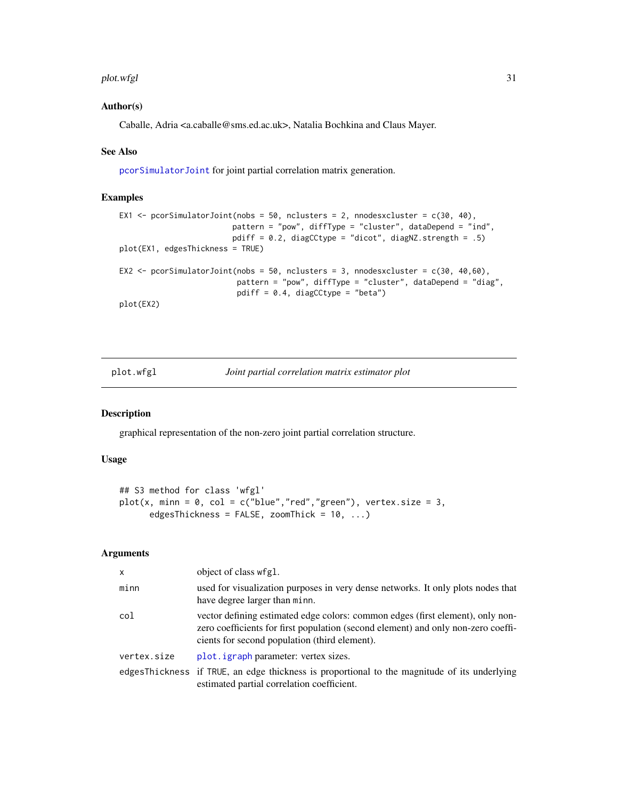#### <span id="page-30-0"></span>plot.wfgl 31

# Author(s)

Caballe, Adria <a.caballe@sms.ed.ac.uk>, Natalia Bochkina and Claus Mayer.

# See Also

[pcorSimulatorJoint](#page-24-1) for joint partial correlation matrix generation.

# Examples

```
EX1 \le pcorSimulatorJoint(nobs = 50, nclusters = 2, nnodesxcluster = c(30, 40),
                         pattern = "pow", diffType = "cluster", dataDepend = "ind",
                         pdiff = 0.2, diagCCtype = "dicot", diagNZ.strength = .5)
plot(EX1, edgesThickness = TRUE)
EX2 \le pcorSimulatorJoint(nobs = 50, nclusters = 3, nnodesxcluster = c(30, 40,60),
                          pattern = "pow", diffType = "cluster", dataDepend = "diag",
                          pdiff = 0.4, diagCCtype = "beta")
plot(EX2)
```
<span id="page-30-1"></span>plot.wfgl *Joint partial correlation matrix estimator plot*

#### Description

graphical representation of the non-zero joint partial correlation structure.

# Usage

```
## S3 method for class 'wfgl'
plot(x, min = 0, col = c("blue", "red", "green"), vertex.size = 3,edgesThickness = FALSE, zoomThick = 10, ...)
```

| $\mathsf{x}$ | object of class wfgl.                                                                                                                                                                                                |
|--------------|----------------------------------------------------------------------------------------------------------------------------------------------------------------------------------------------------------------------|
| minn         | used for visualization purposes in very dense networks. It only plots nodes that<br>have degree larger than minn.                                                                                                    |
| col          | vector defining estimated edge colors: common edges (first element), only non-<br>zero coefficients for first population (second element) and only non-zero coeffi-<br>cients for second population (third element). |
| vertex.size  | plot. <i>igraph</i> parameter: vertex sizes.                                                                                                                                                                         |
|              | edgesThickness if TRUE, an edge thickness is proportional to the magnitude of its underlying<br>estimated partial correlation coefficient.                                                                           |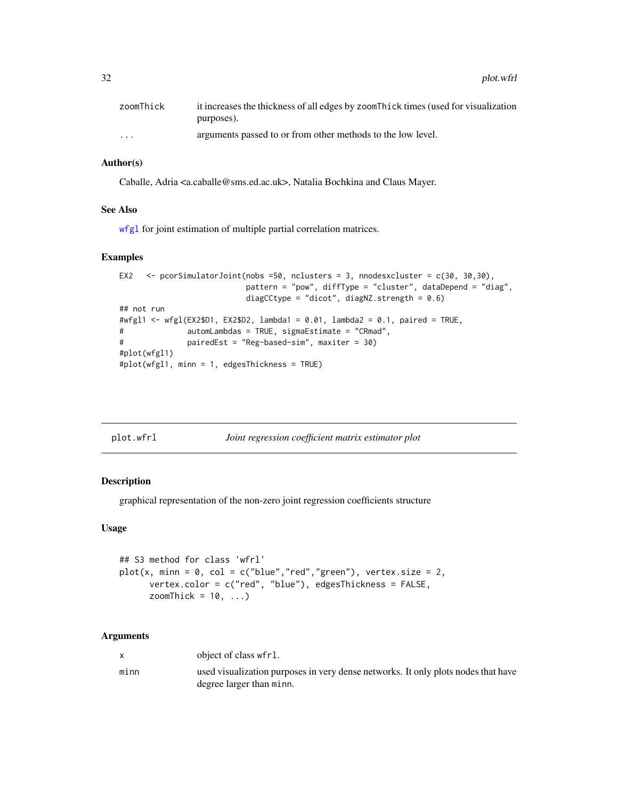<span id="page-31-0"></span>32 plot.wfrl

| zoomThick               | it increases the thickness of all edges by zoom Thick times (used for visualization |
|-------------------------|-------------------------------------------------------------------------------------|
|                         | purposes).                                                                          |
| $\cdot$ $\cdot$ $\cdot$ | arguments passed to or from other methods to the low level.                         |

# Author(s)

Caballe, Adria <a.caballe@sms.ed.ac.uk>, Natalia Bochkina and Claus Mayer.

#### See Also

[wfgl](#page-34-1) for joint estimation of multiple partial correlation matrices.

#### Examples

```
EX2 \leq pcorSimulatorJoint(nobs =50, nclusters = 3, nnodesxcluster = c(30, 30,30),
                          pattern = "pow", diffType = "cluster", dataDepend = "diag",
                          diagCCtype = "dicot", diagNZ.strength = 0.6)
## not run
#wfgl1 <- wfgl(EX2$D1, EX2$D2, lambda1 = 0.01, lambda2 = 0.1, paired = TRUE,
# automLambdas = TRUE, sigmaEstimate = "CRmad",
# pairedEst = "Reg-based-sim", maxiter = 30)
#plot(wfgl1)
#plot(wfgl1, minn = 1, edgesThickness = TRUE)
```
<span id="page-31-1"></span>

| plot.wfrl | Joint regression coefficient matrix estimator plot |
|-----------|----------------------------------------------------|
|           |                                                    |

# Description

graphical representation of the non-zero joint regression coefficients structure

#### Usage

```
## S3 method for class 'wfrl'
plot(x, min = 0, col = c("blue", "red", "green"), vertex.size = 2,vertex.color = c("red", "blue"), edgesThickness = FALSE,
      zoomThick = 10, ...)
```

|      | object of class wfrl.                                                             |
|------|-----------------------------------------------------------------------------------|
| minn | used visualization purposes in very dense networks. It only plots nodes that have |
|      | degree larger than minn.                                                          |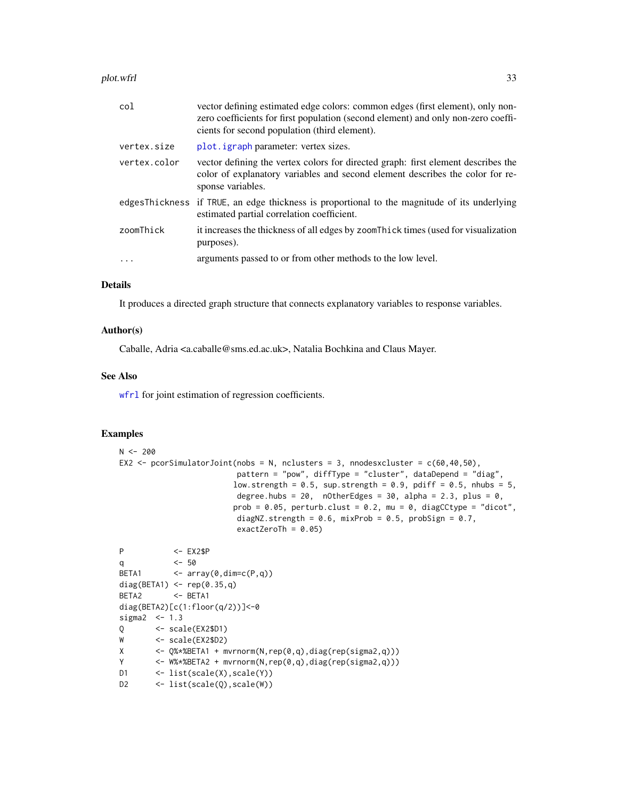<span id="page-32-0"></span>plot.wfrl 33

| col          | vector defining estimated edge colors: common edges (first element), only non-<br>zero coefficients for first population (second element) and only non-zero coeffi-<br>cients for second population (third element). |
|--------------|----------------------------------------------------------------------------------------------------------------------------------------------------------------------------------------------------------------------|
| vertex.size  | plot. <i>igraph</i> parameter: vertex sizes.                                                                                                                                                                         |
| vertex.color | vector defining the vertex colors for directed graph: first element describes the<br>color of explanatory variables and second element describes the color for re-<br>sponse variables.                              |
|              | edgesThickness if TRUE, an edge thickness is proportional to the magnitude of its underlying<br>estimated partial correlation coefficient.                                                                           |
| zoomThick    | it increases the thickness of all edges by zoom Thick times (used for visualization<br>purposes).                                                                                                                    |
|              | arguments passed to or from other methods to the low level.                                                                                                                                                          |

# Details

It produces a directed graph structure that connects explanatory variables to response variables.

# Author(s)

Caballe, Adria <a.caballe@sms.ed.ac.uk>, Natalia Bochkina and Claus Mayer.

#### See Also

[wfrl](#page-37-1) for joint estimation of regression coefficients.

# Examples

```
N < -200EX2 \le pcorSimulatorJoint(nobs = N, nclusters = 3, nnodesxcluster = c(60,40,50),
                         pattern = "pow", diffType = "cluster", dataDepend = "diag",
                        low.strength = 0.5, sup.strength = 0.9, pdiff = 0.5, nhubs = 5,
                         degree.hubs = 20, nOtherEdges = 30, alpha = 2.3, plus = 0,
                        prob = 0.05, perturb.class = 0.2, mu = 0, diagCctype = "dicot",diagNZ.strength = 0.6, mixProb = 0.5, probSign = 0.7,
                         exactZeroTh = 0.05)
P <- EX2$P
q <- 50
BETA1 \leftarrow \text{array}(\emptyset, \text{dim}=\text{c}(P,q))diag(BETA1) <- rep(0.35,q)
BETA2 <- BETA1
diag(BETA2)[c(1:floor(q/2))]<-0
sigma2 < -1.3Q <- scale(EX2$D1)
W <- scale(EX2$D2)
X <- Q%*%BETA1 + mvrnorm(N,rep(0,q),diag(rep(sigma2,q)))
Y <- W%*%BETA2 + mvrnorm(N,rep(0,q),diag(rep(sigma2,q)))
```

```
D1 <- list(scale(X), scale(Y))
```

```
D2 <- list(scale(Q), scale(W))
```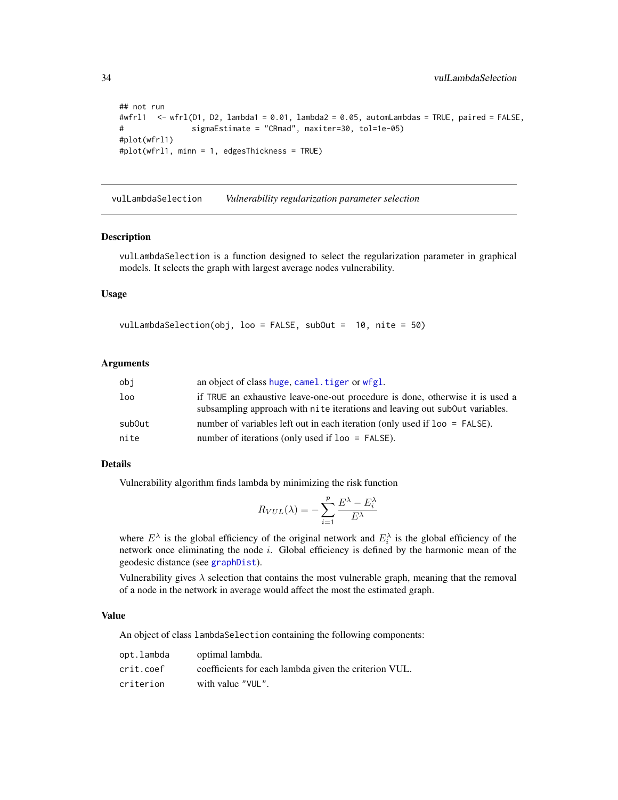```
## not run
#wfrl1 \le wfrl(D1, D2, lambda1 = 0.01, lambda2 = 0.05, automLambdas = TRUE, paired = FALSE,
# sigmaEstimate = "CRmad", maxiter=30, tol=1e-05)
#plot(wfrl1)
#plot(wfrl1, minn = 1, edgesThickness = TRUE)
```
<span id="page-33-1"></span>vulLambdaSelection *Vulnerability regularization parameter selection*

#### Description

vulLambdaSelection is a function designed to select the regularization parameter in graphical models. It selects the graph with largest average nodes vulnerability.

# Usage

vulLambdaSelection(obj, loo = FALSE, subOut = 10, nite = 50)

#### Arguments

| obi    | an object of class huge, camel. tiger or wfgl.                                                                                                               |
|--------|--------------------------------------------------------------------------------------------------------------------------------------------------------------|
| loo    | if TRUE an exhaustive leave-one-out procedure is done, otherwise it is used a<br>subsampling approach with nite iterations and leaving out subout variables. |
| subOut | number of variables left out in each iteration (only used if $1$ o = FALSE).                                                                                 |
| nite   | number of iterations (only used if $loop = FALSE$ ).                                                                                                         |

#### Details

Vulnerability algorithm finds lambda by minimizing the risk function

$$
R_{VUL}(\lambda) = -\sum_{i=1}^{p} \frac{E^{\lambda} - E_i^{\lambda}}{E^{\lambda}}
$$

where  $E^{\lambda}$  is the global efficiency of the original network and  $E_i^{\lambda}$  is the global efficiency of the network once eliminating the node  $i$ . Global efficiency is defined by the harmonic mean of the geodesic distance (see [graphDist](#page-16-1)).

Vulnerability gives  $\lambda$  selection that contains the most vulnerable graph, meaning that the removal of a node in the network in average would affect the most the estimated graph.

#### Value

An object of class lambdaSelection containing the following components:

| opt.lambda | optimal lambda.                                       |
|------------|-------------------------------------------------------|
| crit.coef  | coefficients for each lambda given the criterion VUL. |
| criterion  | with value "VUL".                                     |

<span id="page-33-0"></span>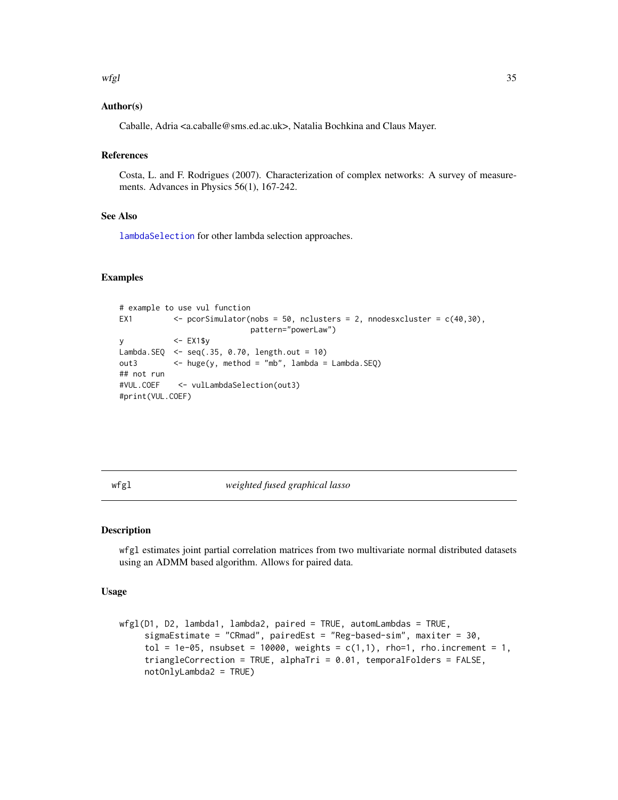#### <span id="page-34-0"></span>wfgl 35

# Author(s)

Caballe, Adria <a.caballe@sms.ed.ac.uk>, Natalia Bochkina and Claus Mayer.

# References

Costa, L. and F. Rodrigues (2007). Characterization of complex networks: A survey of measurements. Advances in Physics 56(1), 167-242.

# See Also

[lambdaSelection](#page-19-1) for other lambda selection approaches.

# Examples

```
# example to use vul function
EX1 \langle - pcorSimulator(nobs = 50, nclusters = 2, nnodesxcluster = c(40, 30),
                           pattern="powerLaw")
y <- EX1$y
Lambda.SEQ \leq seq(.35, 0.70, length.out = 10)
out3 <- huge(y, method = "mb", lambda = Lambda.SEQ)
## not run
#VUL.COEF <- vulLambdaSelection(out3)
#print(VUL.COEF)
```
<span id="page-34-1"></span>wfgl *weighted fused graphical lasso*

#### Description

wfgl estimates joint partial correlation matrices from two multivariate normal distributed datasets using an ADMM based algorithm. Allows for paired data.

#### Usage

```
wfg1(D1, D2, lambda1, lambda2, paired = TRUE, automLambdas = TRUE,sigmaEstimate = "CRmad", pairedEst = "Reg-based-sim", maxiter = 30,
    tol = 1e-05, nsubset = 10000, weights = c(1,1), rho=1, rho.increment = 1,
    triangleCorrection = TRUE, alphaTri = 0.01, temporalFolders = FALSE,
    notOnlyLambda2 = TRUE)
```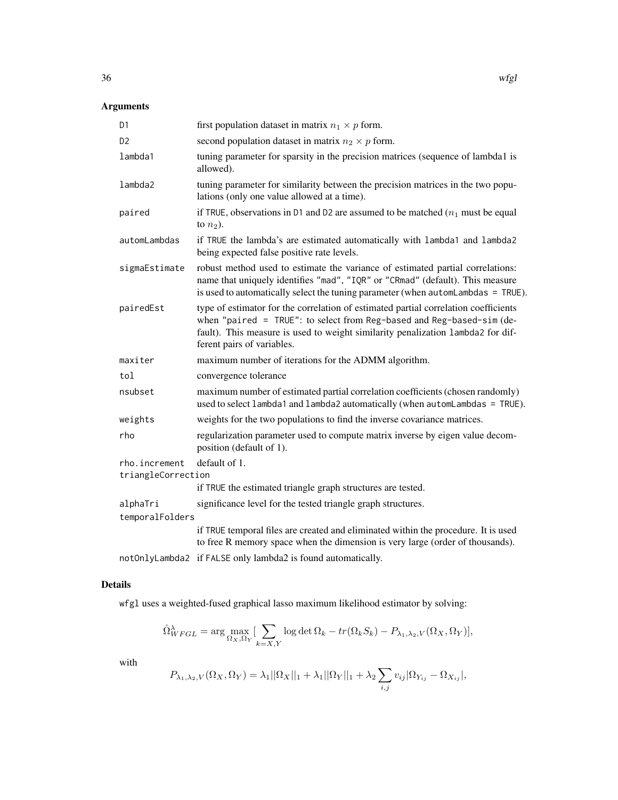# Arguments

| D <sub>1</sub>                      | first population dataset in matrix $n_1 \times p$ form.                                                                                                                                                                                                                          |
|-------------------------------------|----------------------------------------------------------------------------------------------------------------------------------------------------------------------------------------------------------------------------------------------------------------------------------|
| D <sub>2</sub>                      | second population dataset in matrix $n_2 \times p$ form.                                                                                                                                                                                                                         |
| lambda1                             | tuning parameter for sparsity in the precision matrices (sequence of lambda1 is<br>allowed).                                                                                                                                                                                     |
| lambda2                             | tuning parameter for similarity between the precision matrices in the two popu-<br>lations (only one value allowed at a time).                                                                                                                                                   |
| paired                              | if TRUE, observations in D1 and D2 are assumed to be matched $(n_1 \text{ must be equal})$<br>to $n_2$ ).                                                                                                                                                                        |
| automLambdas                        | if TRUE the lambda's are estimated automatically with lambda1 and lambda2<br>being expected false positive rate levels.                                                                                                                                                          |
| sigmaEstimate                       | robust method used to estimate the variance of estimated partial correlations:<br>name that uniquely identifies "mad", "IQR" or "CRmad" (default). This measure<br>is used to automatically select the tuning parameter (when automLambdas = TRUE).                              |
| pairedEst                           | type of estimator for the correlation of estimated partial correlation coefficients<br>when "paired = $TRUE$ ": to select from Reg-based and Reg-based-sim (de-<br>fault). This measure is used to weight similarity penalization lambda2 for dif-<br>ferent pairs of variables. |
| maxiter                             | maximum number of iterations for the ADMM algorithm.                                                                                                                                                                                                                             |
| tol                                 | convergence tolerance                                                                                                                                                                                                                                                            |
| nsubset                             | maximum number of estimated partial correlation coefficients (chosen randomly)<br>used to select lambda1 and lambda2 automatically (when automLambdas = TRUE).                                                                                                                   |
| weights                             | weights for the two populations to find the inverse covariance matrices.                                                                                                                                                                                                         |
| rho                                 | regularization parameter used to compute matrix inverse by eigen value decom-<br>position (default of 1).                                                                                                                                                                        |
| rho.increment<br>triangleCorrection | default of 1.                                                                                                                                                                                                                                                                    |
|                                     | if TRUE the estimated triangle graph structures are tested.                                                                                                                                                                                                                      |
| alphaTri                            | significance level for the tested triangle graph structures.                                                                                                                                                                                                                     |
| temporalFolders                     |                                                                                                                                                                                                                                                                                  |
|                                     | if TRUE temporal files are created and eliminated within the procedure. It is used<br>to free R memory space when the dimension is very large (order of thousands).                                                                                                              |
|                                     | notOnlyLambda2 if FALSE only lambda2 is found automatically.                                                                                                                                                                                                                     |

# Details

wfgl uses a weighted-fused graphical lasso maximum likelihood estimator by solving:

$$
\hat{\Omega}_{WFGL}^{\lambda} = \arg \max_{\Omega_X, \Omega_Y} \left[ \sum_{k=X,Y} \log \det \Omega_k - tr(\Omega_k S_k) - P_{\lambda_1, \lambda_2, V}(\Omega_X, \Omega_Y) \right],
$$

with

$$
P_{\lambda_1, \lambda_2, V}(\Omega_X, \Omega_Y) = \lambda_1 ||\Omega_X||_1 + \lambda_1 ||\Omega_Y||_1 + \lambda_2 \sum_{i,j} v_{ij} |\Omega_{Y_{ij}} - \Omega_{X_{ij}}|,
$$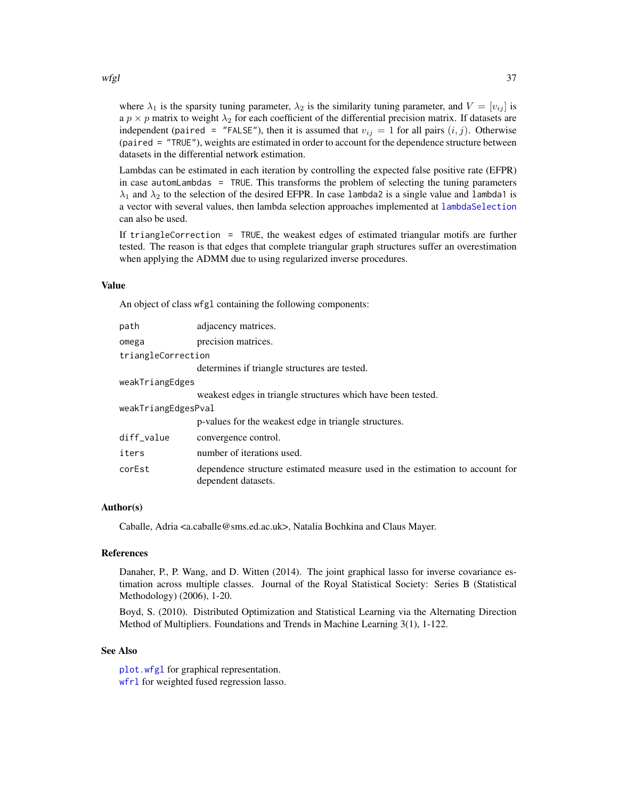<span id="page-36-0"></span>where  $\lambda_1$  is the sparsity tuning parameter,  $\lambda_2$  is the similarity tuning parameter, and  $V = [v_{ij}]$  is a  $p \times p$  matrix to weight  $\lambda_2$  for each coefficient of the differential precision matrix. If datasets are independent (paired = "FALSE"), then it is assumed that  $v_{ij} = 1$  for all pairs  $(i, j)$ . Otherwise (paired = "TRUE"), weights are estimated in order to account for the dependence structure between datasets in the differential network estimation.

Lambdas can be estimated in each iteration by controlling the expected false positive rate (EFPR) in case automLambdas = TRUE. This transforms the problem of selecting the tuning parameters  $\lambda_1$  and  $\lambda_2$  to the selection of the desired EFPR. In case lambda2 is a single value and lambda1 is a vector with several values, then lambda selection approaches implemented at [lambdaSelection](#page-19-1) can also be used.

If triangleCorrection = TRUE, the weakest edges of estimated triangular motifs are further tested. The reason is that edges that complete triangular graph structures suffer an overestimation when applying the ADMM due to using regularized inverse procedures.

#### Value

An object of class wfgl containing the following components:

| path                | adjacency matrices.                                                                                 |
|---------------------|-----------------------------------------------------------------------------------------------------|
| omega               | precision matrices.                                                                                 |
| triangleCorrection  |                                                                                                     |
|                     | determines if triangle structures are tested.                                                       |
| weakTriangEdges     |                                                                                                     |
|                     | weakest edges in triangle structures which have been tested.                                        |
| weakTriangEdgesPval |                                                                                                     |
|                     | p-values for the weakest edge in triangle structures.                                               |
| diff_value          | convergence control.                                                                                |
| iters               | number of iterations used.                                                                          |
| corEst              | dependence structure estimated measure used in the estimation to account for<br>dependent datasets. |

# Author(s)

Caballe, Adria <a.caballe@sms.ed.ac.uk>, Natalia Bochkina and Claus Mayer.

#### References

Danaher, P., P. Wang, and D. Witten (2014). The joint graphical lasso for inverse covariance estimation across multiple classes. Journal of the Royal Statistical Society: Series B (Statistical Methodology) (2006), 1-20.

Boyd, S. (2010). Distributed Optimization and Statistical Learning via the Alternating Direction Method of Multipliers. Foundations and Trends in Machine Learning 3(1), 1-122.

#### See Also

[plot.wfgl](#page-30-1) for graphical representation. wfr1 for weighted fused regression lasso.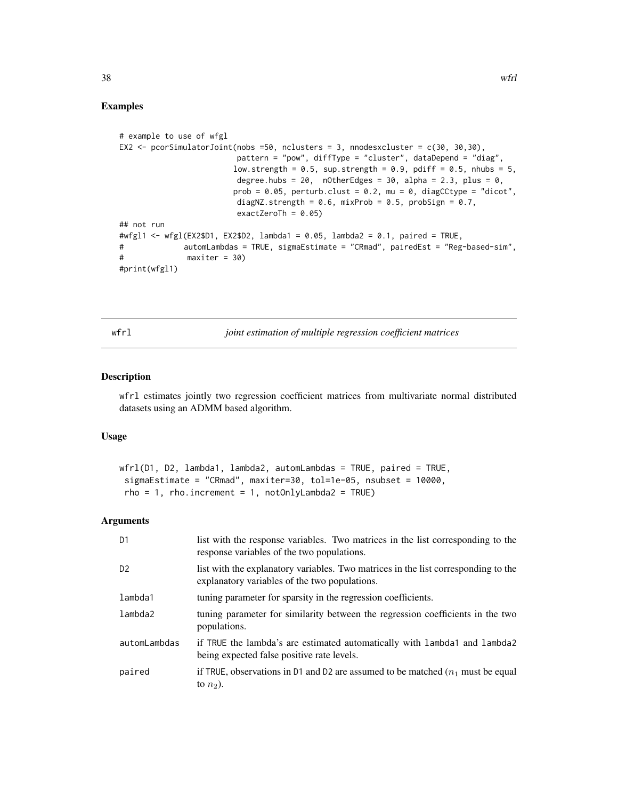# Examples

```
# example to use of wfgl
EX2 \le pcorSimulatorJoint(nobs =50, nclusters = 3, nnodesxcluster = c(30, 30,30),
                         pattern = "pow", diffType = "cluster", dataDepend = "diag",
                        low.strength = 0.5, sup.strength = 0.9, pdiff = 0.5, nhubs = 5,
                         degree.hubs = 20, nOtherEdges = 30, alpha = 2.3, plus = 0,
                        prob = 0.05, perturb.class = 0.2, mu = 0, diagCctype = "dicot",diagNZ.strength = 0.6, mixProb = 0.5, probSign = 0.7,
                         exactZeroTh = 0.05)
## not run
#wfgl1 <- wfgl(EX2$D1, EX2$D2, lambda1 = 0.05, lambda2 = 0.1, paired = TRUE,
# automLambdas = TRUE, sigmaEstimate = "CRmad", pairedEst = "Reg-based-sim",
# maxiter = 30)
#print(wfgl1)
```
<span id="page-37-1"></span>wfrl *joint estimation of multiple regression coefficient matrices*

# Description

wfrl estimates jointly two regression coefficient matrices from multivariate normal distributed datasets using an ADMM based algorithm.

# Usage

```
wfrl(D1, D2, lambda1, lambda2, automLambdas = TRUE, paired = TRUE,
sigmaEstimate = "CRmad", maxiter=30, tol=1e-05, nsubset = 10000,
rho = 1, rho.increment = 1, notOnlyLambda2 = TRUE)
```

| D <sub>1</sub> | list with the response variables. Two matrices in the list corresponding to the<br>response variables of the two populations.       |
|----------------|-------------------------------------------------------------------------------------------------------------------------------------|
| D <sub>2</sub> | list with the explanatory variables. Two matrices in the list corresponding to the<br>explanatory variables of the two populations. |
| lambda1        | tuning parameter for sparsity in the regression coefficients.                                                                       |
| lambda2        | tuning parameter for similarity between the regression coefficients in the two<br>populations.                                      |
| automLambdas   | if TRUE the lambda's are estimated automatically with lambda1 and lambda2<br>being expected false positive rate levels.             |
| paired         | if TRUE, observations in D1 and D2 are assumed to be matched $(n_1$ must be equal<br>to $n_2$ ).                                    |

<span id="page-37-0"></span>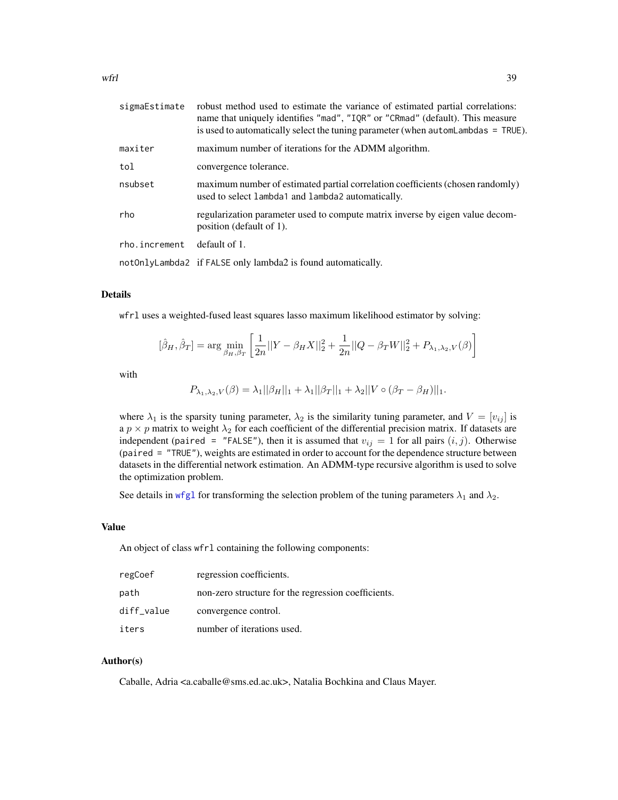<span id="page-38-0"></span>

| sigmaEstimate | robust method used to estimate the variance of estimated partial correlations:<br>name that uniquely identifies "mad", "IQR" or "CRmad" (default). This measure<br>is used to automatically select the tuning parameter (when automLambdas = TRUE). |
|---------------|-----------------------------------------------------------------------------------------------------------------------------------------------------------------------------------------------------------------------------------------------------|
| maxiter       | maximum number of iterations for the ADMM algorithm.                                                                                                                                                                                                |
| tol           | convergence tolerance.                                                                                                                                                                                                                              |
| nsubset       | maximum number of estimated partial correlation coefficients (chosen randomly)<br>used to select lambda1 and lambda2 automatically.                                                                                                                 |
| rho           | regularization parameter used to compute matrix inverse by eigen value decom-<br>position (default of 1).                                                                                                                                           |
| rho.increment | default of 1.                                                                                                                                                                                                                                       |
|               | notOnlyLambda2 if FALSE only lambda2 is found automatically.                                                                                                                                                                                        |

# Details

wfrl uses a weighted-fused least squares lasso maximum likelihood estimator by solving:

$$
[\hat{\beta}_H, \hat{\beta}_T] = \arg \min_{\beta_H, \beta_T} \left[ \frac{1}{2n} ||Y - \beta_H X||_2^2 + \frac{1}{2n} ||Q - \beta_T W||_2^2 + P_{\lambda_1, \lambda_2, V}(\beta) \right]
$$

with

$$
P_{\lambda_1, \lambda_2, V}(\beta) = \lambda_1 ||\beta_H||_1 + \lambda_1 ||\beta_T||_1 + \lambda_2 ||V \circ (\beta_T - \beta_H)||_1.
$$

where  $\lambda_1$  is the sparsity tuning parameter,  $\lambda_2$  is the similarity tuning parameter, and  $V = [v_{ij}]$  is a  $p \times p$  matrix to weight  $\lambda_2$  for each coefficient of the differential precision matrix. If datasets are independent (paired = "FALSE"), then it is assumed that  $v_{ij} = 1$  for all pairs  $(i, j)$ . Otherwise (paired = "TRUE"), weights are estimated in order to account for the dependence structure between datasets in the differential network estimation. An ADMM-type recursive algorithm is used to solve the optimization problem.

See details in [wfgl](#page-34-1) for transforming the selection problem of the tuning parameters  $\lambda_1$  and  $\lambda_2$ .

#### Value

An object of class wfrl containing the following components:

| regCoef    | regression coefficients.                            |
|------------|-----------------------------------------------------|
| path       | non-zero structure for the regression coefficients. |
| diff_value | convergence control.                                |
| iters      | number of iterations used.                          |

#### Author(s)

Caballe, Adria <a.caballe@sms.ed.ac.uk>, Natalia Bochkina and Claus Mayer.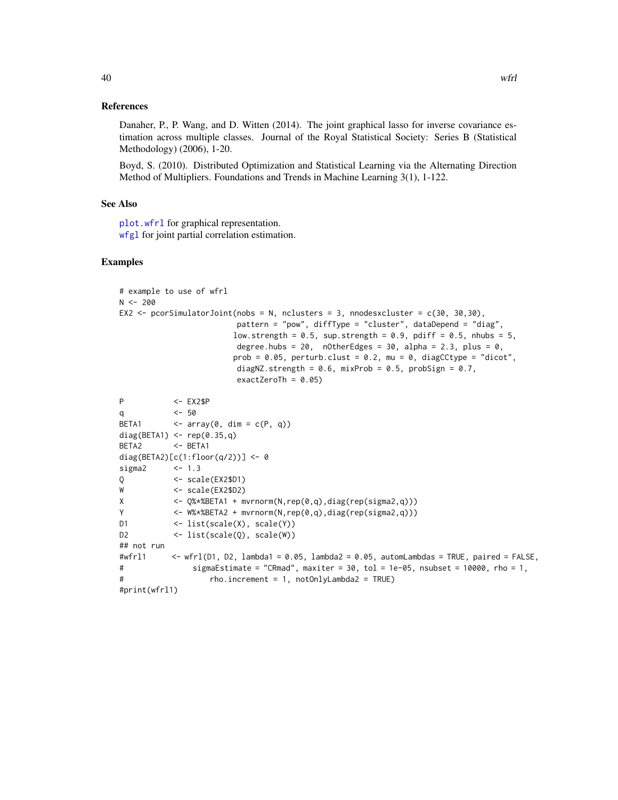<span id="page-39-0"></span>Danaher, P., P. Wang, and D. Witten (2014). The joint graphical lasso for inverse covariance estimation across multiple classes. Journal of the Royal Statistical Society: Series B (Statistical Methodology) (2006), 1-20.

Boyd, S. (2010). Distributed Optimization and Statistical Learning via the Alternating Direction Method of Multipliers. Foundations and Trends in Machine Learning 3(1), 1-122.

#### See Also

[plot.wfrl](#page-31-1) for graphical representation. [wfgl](#page-34-1) for joint partial correlation estimation.

#### Examples

```
# example to use of wfrl
N < -200EX2 <- pcorSimulatorJoint(nobs = N, nclusters = 3, nnodesxcluster = c(30, 30, 30),
                       pattern = "pow", diffType = "cluster", dataDepend = "diag",
                       low.strength = 0.5, sup.strength = 0.9, pdiff = 0.5, nhubs = 5,
                       degree.hubs = 20, nOtherEdges = 30, alpha = 2.3, plus = 0,
                       prob = 0.05, perturb.clust = 0.2, mu = 0, diagCCtype = "dicot",
                       diagNZ.strength = 0.6, mixProb = 0.5, probSign = 0.7,
                       exactZeroTh = 0.05)
P <- EX2$P
q <- 50
BETA1 \leftarrow array(0, dim = c(P, q))
diag(BETA1) <- rep(0.35,q)
BETA2 <- BETA1
diag(BETA2)[c(1:floor(q/2))] <- 0
sigma2 <- 1.3
Q <- scale(EX2$D1)
W <- scale(EX2$D2)
X \leftarrow Q%*%BETA1 + mvrnorm(N,rep(0,q),diag(rep(sigma2,q)))
Y <- W%*%BETA2 + mvrnorm(N,rep(0,q),diag(rep(sigma2,q)))
D1 <- list(scale(X), scale(Y))
D2 <- list(scale(Q), scale(W))
## not run
#wfrl1 \leq wfrl(D1, D2, lambda1 = 0.05, lambda2 = 0.05, automLambdas = TRUE, paired = FALSE,
# sigmaEstimate = "CRmad", maxiter = 30, tol = 1e-05, nsubset = 10000, rho = 1,
# rho.increment = 1, notOnlyLambda2 = TRUE)
#print(wfrl1)
```